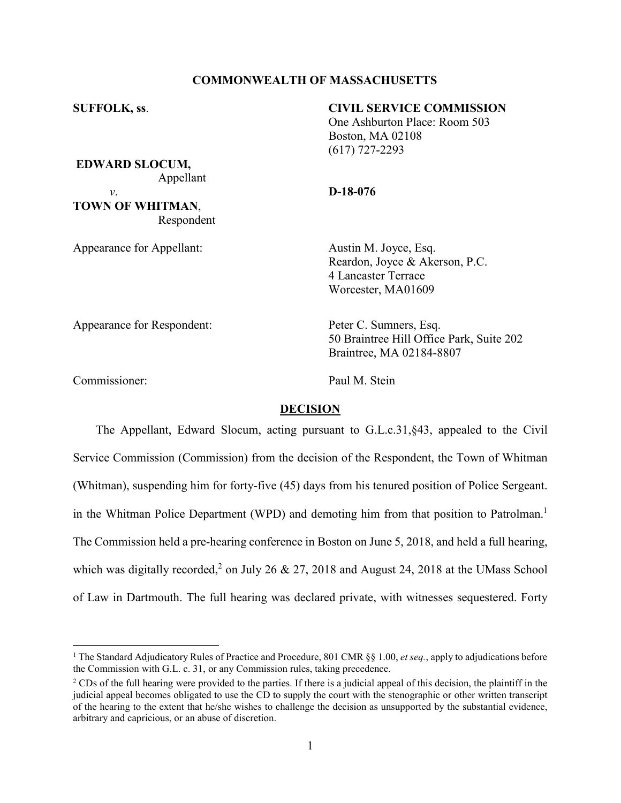## **COMMONWEALTH OF MASSACHUSETTS**

## **SUFFOLK, ss**. **CIVIL SERVICE COMMISSION**

One Ashburton Place: Room 503 Boston, MA 02108 (617) 727-2293

**EDWARD SLOCUM,** Appellant *v*. **D-18-076**

**TOWN OF WHITMAN**, Respondent

Appearance for Appellant: Austin M. Joyce, Esq. Reardon, Joyce & Akerson, P.C. 4 Lancaster Terrace Worcester, MA01609

Appearance for Respondent: Peter C. Sumners, Esq.

50 Braintree Hill Office Park, Suite 202 Braintree, MA 02184-8807

Commissioner: Paul M. Stein

## **DECISION**

The Appellant, Edward Slocum, acting pursuant to G.L.c.31,§43, appealed to the Civil Service Commission (Commission) from the decision of the Respondent, the Town of Whitman (Whitman), suspending him for forty-five (45) days from his tenured position of Police Sergeant. in the Whitman Police Department (WPD) and demoting him from that position to Patrolman.<sup>1</sup> The Commission held a pre-hearing conference in Boston on June 5, 2018, and held a full hearing, which was digitally recorded,<sup>2</sup> on July 26 & 27, 2018 and August 24, 2018 at the UMass School of Law in Dartmouth. The full hearing was declared private, with witnesses sequestered. Forty

 <sup>1</sup> The Standard Adjudicatory Rules of Practice and Procedure, 801 CMR §§ 1.00, *et seq.*, apply to adjudications before the Commission with G.L. c. 31, or any Commission rules, taking precedence.

 $2^2$  CDs of the full hearing were provided to the parties. If there is a judicial appeal of this decision, the plaintiff in the judicial appeal becomes obligated to use the CD to supply the court with the stenographic or other written transcript of the hearing to the extent that he/she wishes to challenge the decision as unsupported by the substantial evidence, arbitrary and capricious, or an abuse of discretion.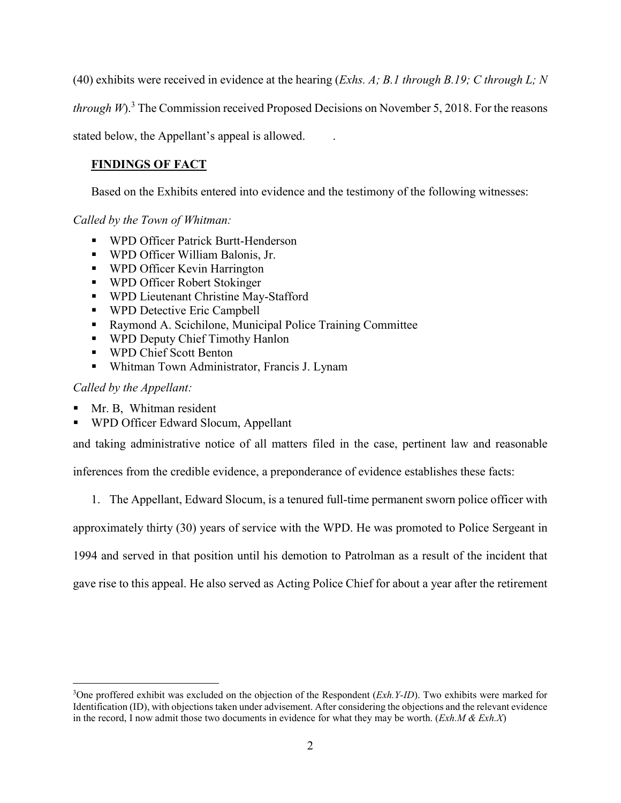(40) exhibits were received in evidence at the hearing (*Exhs. A; B.1 through B.19; C through L; N* 

*through W*). <sup>3</sup> The Commission received Proposed Decisions on November 5, 2018. For the reasons

stated below, the Appellant's appeal is allowed. .

# **FINDINGS OF FACT**

Based on the Exhibits entered into evidence and the testimony of the following witnesses:

*Called by the Town of Whitman:*

- WPD Officer Patrick Burtt-Henderson
- WPD Officer William Balonis, Jr.
- **WPD Officer Kevin Harrington**
- WPD Officer Robert Stokinger
- WPD Lieutenant Christine May-Stafford
- **WPD Detective Eric Campbell**
- Raymond A. Scichilone, Municipal Police Training Committee
- **WPD Deputy Chief Timothy Hanlon**
- **WPD Chief Scott Benton**
- Whitman Town Administrator, Francis J. Lynam

*Called by the Appellant:*

- Mr. B, Whitman resident
- WPD Officer Edward Slocum, Appellant

and taking administrative notice of all matters filed in the case, pertinent law and reasonable

inferences from the credible evidence, a preponderance of evidence establishes these facts:

1. The Appellant, Edward Slocum, is a tenured full-time permanent sworn police officer with

approximately thirty (30) years of service with the WPD. He was promoted to Police Sergeant in

1994 and served in that position until his demotion to Patrolman as a result of the incident that

gave rise to this appeal. He also served as Acting Police Chief for about a year after the retirement

 $\frac{1}{3}$ <sup>3</sup>One proffered exhibit was excluded on the objection of the Respondent (*Exh.Y-ID*). Two exhibits were marked for Identification (ID), with objections taken under advisement. After considering the objections and the relevant evidence in the record, I now admit those two documents in evidence for what they may be worth. (*Exh.M & Exh.X*)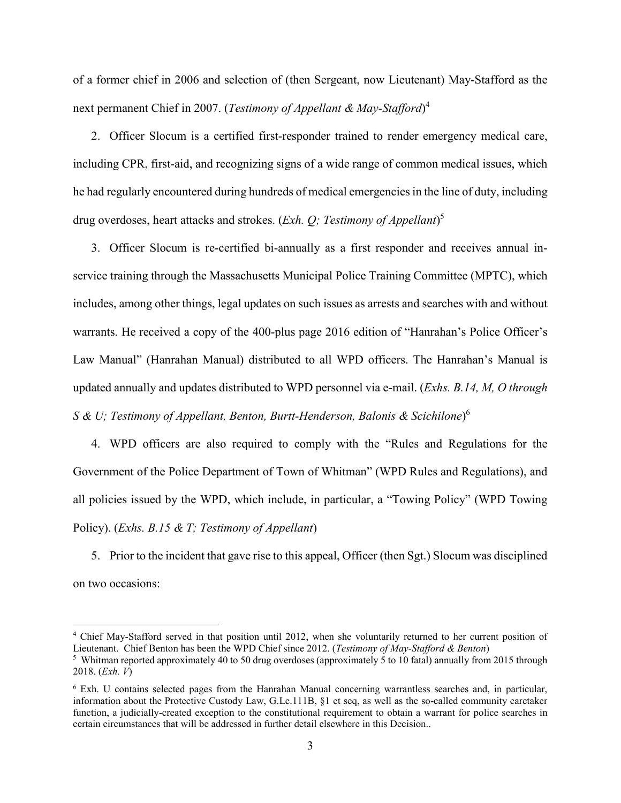of a former chief in 2006 and selection of (then Sergeant, now Lieutenant) May-Stafford as the next permanent Chief in 2007. (*Testimony of Appellant & May-Stafford*) 4

2. Officer Slocum is a certified first-responder trained to render emergency medical care, including CPR, first-aid, and recognizing signs of a wide range of common medical issues, which he had regularly encountered during hundreds of medical emergencies in the line of duty, including drug overdoses, heart attacks and strokes. (*Exh. Q; Testimony of Appellant*) 5

3. Officer Slocum is re-certified bi-annually as a first responder and receives annual inservice training through the Massachusetts Municipal Police Training Committee (MPTC), which includes, among other things, legal updates on such issues as arrests and searches with and without warrants. He received a copy of the 400-plus page 2016 edition of "Hanrahan's Police Officer's Law Manual" (Hanrahan Manual) distributed to all WPD officers. The Hanrahan's Manual is updated annually and updates distributed to WPD personnel via e-mail. (*Exhs. B.14, M, O through S & U; Testimony of Appellant, Benton, Burtt-Henderson, Balonis & Scichilone*) 6

4. WPD officers are also required to comply with the "Rules and Regulations for the Government of the Police Department of Town of Whitman" (WPD Rules and Regulations), and all policies issued by the WPD, which include, in particular, a "Towing Policy" (WPD Towing Policy). (*Exhs. B.15 & T; Testimony of Appellant*)

5. Prior to the incident that gave rise to this appeal, Officer (then Sgt.) Slocum was disciplined on two occasions:

 <sup>4</sup> Chief May-Stafford served in that position until 2012, when she voluntarily returned to her current position of Lieutenant. Chief Benton has been the WPD Chief since 2012. (*Testimony of May-Stafford & Benton*)

<sup>&</sup>lt;sup>5</sup> Whitman reported approximately 40 to 50 drug overdoses (approximately 5 to 10 fatal) annually from 2015 through 2018. (*Exh. V*)

<sup>6</sup> Exh. U contains selected pages from the Hanrahan Manual concerning warrantless searches and, in particular, information about the Protective Custody Law, G.Lc.111B, §1 et seq, as well as the so-called community caretaker function, a judicially-created exception to the constitutional requirement to obtain a warrant for police searches in certain circumstances that will be addressed in further detail elsewhere in this Decision..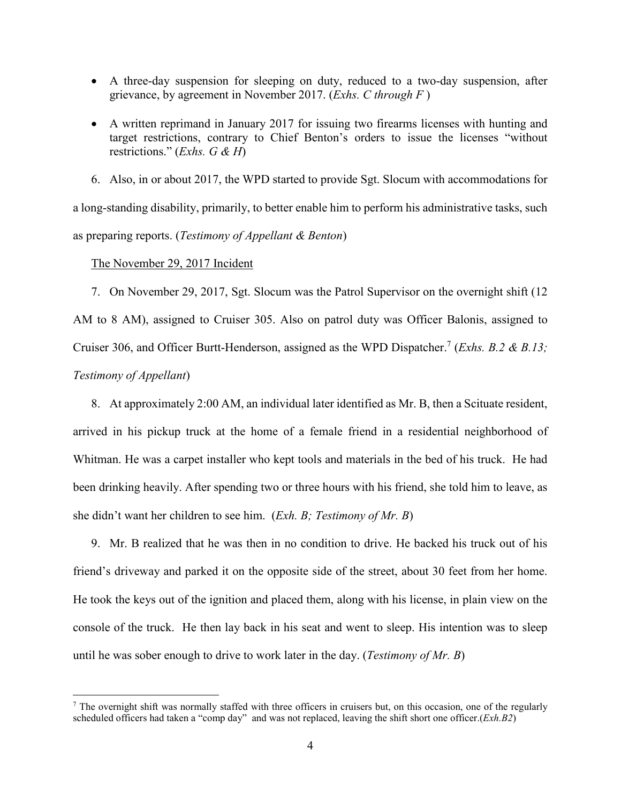- A three-day suspension for sleeping on duty, reduced to a two-day suspension, after grievance, by agreement in November 2017. (*Exhs. C through F* )
- A written reprimand in January 2017 for issuing two firearms licenses with hunting and target restrictions, contrary to Chief Benton's orders to issue the licenses "without restrictions." (*Exhs. G & H*)

6. Also, in or about 2017, the WPD started to provide Sgt. Slocum with accommodations for a long-standing disability, primarily, to better enable him to perform his administrative tasks, such

as preparing reports. (*Testimony of Appellant & Benton*)

The November 29, 2017 Incident

7. On November 29, 2017, Sgt. Slocum was the Patrol Supervisor on the overnight shift (12 AM to 8 AM), assigned to Cruiser 305. Also on patrol duty was Officer Balonis, assigned to Cruiser 306, and Officer Burtt-Henderson, assigned as the WPD Dispatcher.<sup>7</sup> (*Exhs. B.2 & B.13*; *Testimony of Appellant*)

8. At approximately 2:00 AM, an individual later identified as Mr. B, then a Scituate resident, arrived in his pickup truck at the home of a female friend in a residential neighborhood of Whitman. He was a carpet installer who kept tools and materials in the bed of his truck. He had been drinking heavily. After spending two or three hours with his friend, she told him to leave, as she didn't want her children to see him. (*Exh. B; Testimony of Mr. B*)

9. Mr. B realized that he was then in no condition to drive. He backed his truck out of his friend's driveway and parked it on the opposite side of the street, about 30 feet from her home. He took the keys out of the ignition and placed them, along with his license, in plain view on the console of the truck. He then lay back in his seat and went to sleep. His intention was to sleep until he was sober enough to drive to work later in the day. (*Testimony of Mr. B*)

<sup>&</sup>lt;sup>7</sup> The overnight shift was normally staffed with three officers in cruisers but, on this occasion, one of the regularly scheduled officers had taken a "comp day" and was not replaced, leaving the shift short one officer.(*Exh.B2*)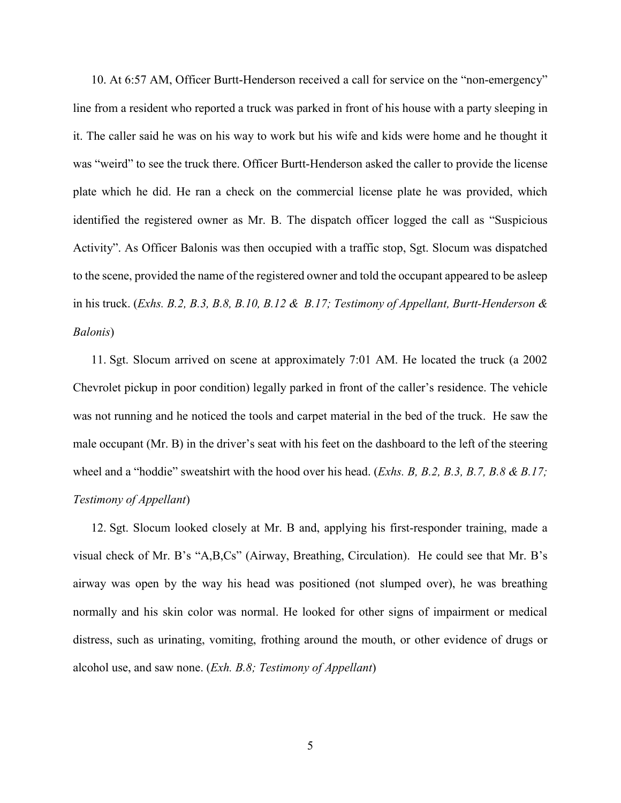10. At 6:57 AM, Officer Burtt-Henderson received a call for service on the "non-emergency" line from a resident who reported a truck was parked in front of his house with a party sleeping in it. The caller said he was on his way to work but his wife and kids were home and he thought it was "weird" to see the truck there. Officer Burtt-Henderson asked the caller to provide the license plate which he did. He ran a check on the commercial license plate he was provided, which identified the registered owner as Mr. B. The dispatch officer logged the call as "Suspicious Activity". As Officer Balonis was then occupied with a traffic stop, Sgt. Slocum was dispatched to the scene, provided the name of the registered owner and told the occupant appeared to be asleep in his truck. (*Exhs. B.2, B.3, B.8, B.10, B.12 & B.17; Testimony of Appellant, Burtt-Henderson & Balonis*)

11. Sgt. Slocum arrived on scene at approximately 7:01 AM. He located the truck (a 2002 Chevrolet pickup in poor condition) legally parked in front of the caller's residence. The vehicle was not running and he noticed the tools and carpet material in the bed of the truck. He saw the male occupant (Mr. B) in the driver's seat with his feet on the dashboard to the left of the steering wheel and a "hoddie" sweatshirt with the hood over his head. (*Exhs. B, B.2, B.3, B.7, B.8 & B.17; Testimony of Appellant*)

12. Sgt. Slocum looked closely at Mr. B and, applying his first-responder training, made a visual check of Mr. B's "A,B,Cs" (Airway, Breathing, Circulation). He could see that Mr. B's airway was open by the way his head was positioned (not slumped over), he was breathing normally and his skin color was normal. He looked for other signs of impairment or medical distress, such as urinating, vomiting, frothing around the mouth, or other evidence of drugs or alcohol use, and saw none. (*Exh. B.8; Testimony of Appellant*)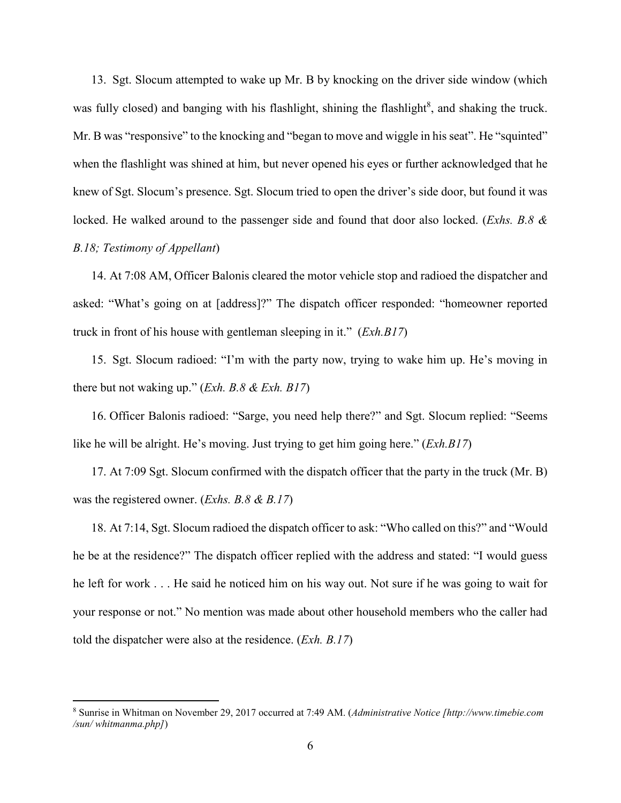13. Sgt. Slocum attempted to wake up Mr. B by knocking on the driver side window (which was fully closed) and banging with his flashlight, shining the flashlight<sup>8</sup>, and shaking the truck. Mr. B was "responsive" to the knocking and "began to move and wiggle in his seat". He "squinted" when the flashlight was shined at him, but never opened his eyes or further acknowledged that he knew of Sgt. Slocum's presence. Sgt. Slocum tried to open the driver's side door, but found it was locked. He walked around to the passenger side and found that door also locked. (*Exhs. B.8 & B.18; Testimony of Appellant*)

14. At 7:08 AM, Officer Balonis cleared the motor vehicle stop and radioed the dispatcher and asked: "What's going on at [address]?" The dispatch officer responded: "homeowner reported truck in front of his house with gentleman sleeping in it." (*Exh.B17*)

15. Sgt. Slocum radioed: "I'm with the party now, trying to wake him up. He's moving in there but not waking up." (*Exh. B.8 & Exh. B17*)

16. Officer Balonis radioed: "Sarge, you need help there?" and Sgt. Slocum replied: "Seems like he will be alright. He's moving. Just trying to get him going here." (*Exh.B17*)

17. At 7:09 Sgt. Slocum confirmed with the dispatch officer that the party in the truck (Mr. B) was the registered owner. (*Exhs. B.8 & B.17*)

18. At 7:14, Sgt. Slocum radioed the dispatch officer to ask: "Who called on this?" and "Would he be at the residence?" The dispatch officer replied with the address and stated: "I would guess he left for work . . . He said he noticed him on his way out. Not sure if he was going to wait for your response or not." No mention was made about other household members who the caller had told the dispatcher were also at the residence. (*Exh. B.17*)

 <sup>8</sup> Sunrise in Whitman on November 29, 2017 occurred at 7:49 AM. (*Administrative Notice [http://www.timebie.com /sun/ whitmanma.php]*)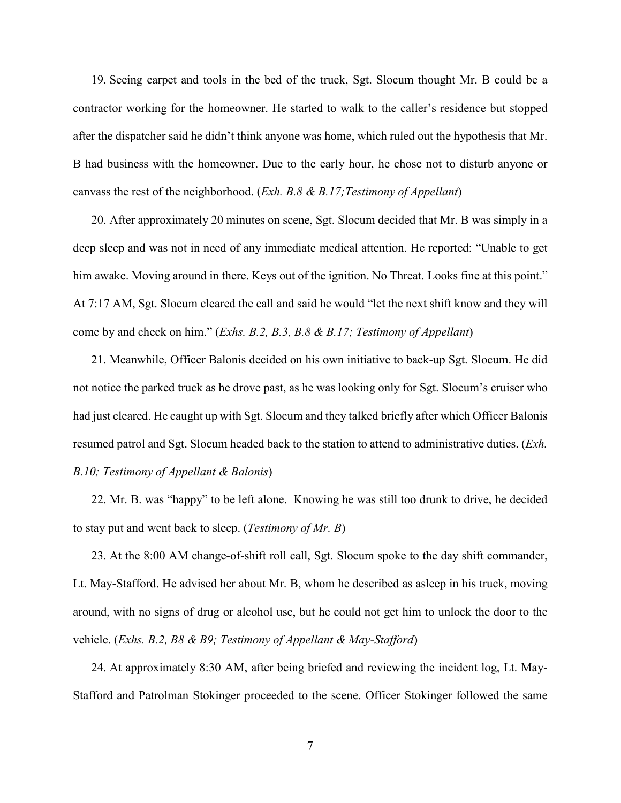19. Seeing carpet and tools in the bed of the truck, Sgt. Slocum thought Mr. B could be a contractor working for the homeowner. He started to walk to the caller's residence but stopped after the dispatcher said he didn't think anyone was home, which ruled out the hypothesis that Mr. B had business with the homeowner. Due to the early hour, he chose not to disturb anyone or canvass the rest of the neighborhood. (*Exh. B.8 & B.17;Testimony of Appellant*)

20. After approximately 20 minutes on scene, Sgt. Slocum decided that Mr. B was simply in a deep sleep and was not in need of any immediate medical attention. He reported: "Unable to get him awake. Moving around in there. Keys out of the ignition. No Threat. Looks fine at this point." At 7:17 AM, Sgt. Slocum cleared the call and said he would "let the next shift know and they will come by and check on him." (*Exhs. B.2, B.3, B.8 & B.17; Testimony of Appellant*)

21. Meanwhile, Officer Balonis decided on his own initiative to back-up Sgt. Slocum. He did not notice the parked truck as he drove past, as he was looking only for Sgt. Slocum's cruiser who had just cleared. He caught up with Sgt. Slocum and they talked briefly after which Officer Balonis resumed patrol and Sgt. Slocum headed back to the station to attend to administrative duties. (*Exh. B.10; Testimony of Appellant & Balonis*)

22. Mr. B. was "happy" to be left alone. Knowing he was still too drunk to drive, he decided to stay put and went back to sleep. (*Testimony of Mr. B*)

23. At the 8:00 AM change-of-shift roll call, Sgt. Slocum spoke to the day shift commander, Lt. May-Stafford. He advised her about Mr. B, whom he described as asleep in his truck, moving around, with no signs of drug or alcohol use, but he could not get him to unlock the door to the vehicle. (*Exhs. B.2, B8 & B9; Testimony of Appellant & May-Stafford*)

24. At approximately 8:30 AM, after being briefed and reviewing the incident log, Lt. May-Stafford and Patrolman Stokinger proceeded to the scene. Officer Stokinger followed the same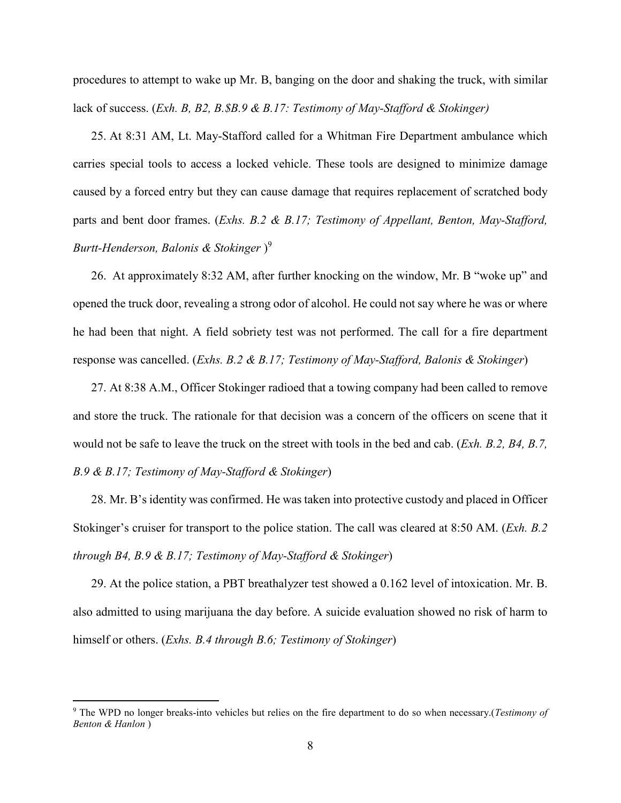procedures to attempt to wake up Mr. B, banging on the door and shaking the truck, with similar lack of success. (*Exh. B, B2, B.\$B.9 & B.17: Testimony of May-Stafford & Stokinger)*

25. At 8:31 AM, Lt. May-Stafford called for a Whitman Fire Department ambulance which carries special tools to access a locked vehicle. These tools are designed to minimize damage caused by a forced entry but they can cause damage that requires replacement of scratched body parts and bent door frames. (*Exhs. B.2 & B.17; Testimony of Appellant, Benton, May-Stafford, Burtt-Henderson, Balonis & Stokinger* ) 9

26. At approximately 8:32 AM, after further knocking on the window, Mr. B "woke up" and opened the truck door, revealing a strong odor of alcohol. He could not say where he was or where he had been that night. A field sobriety test was not performed. The call for a fire department response was cancelled. (*Exhs. B.2 & B.17; Testimony of May-Stafford, Balonis & Stokinger*)

27. At 8:38 A.M., Officer Stokinger radioed that a towing company had been called to remove and store the truck. The rationale for that decision was a concern of the officers on scene that it would not be safe to leave the truck on the street with tools in the bed and cab. (*Exh. B.2, B4, B.7, B.9 & B.17; Testimony of May-Stafford & Stokinger*)

28. Mr. B's identity was confirmed. He was taken into protective custody and placed in Officer Stokinger's cruiser for transport to the police station. The call was cleared at 8:50 AM. (*Exh. B.2 through B4, B.9 & B.17; Testimony of May-Stafford & Stokinger*)

29. At the police station, a PBT breathalyzer test showed a 0.162 level of intoxication. Mr. B. also admitted to using marijuana the day before. A suicide evaluation showed no risk of harm to himself or others. (*Exhs. B.4 through B.6; Testimony of Stokinger*)

 <sup>9</sup> The WPD no longer breaks-into vehicles but relies on the fire department to do so when necessary.(*Testimony of Benton & Hanlon* )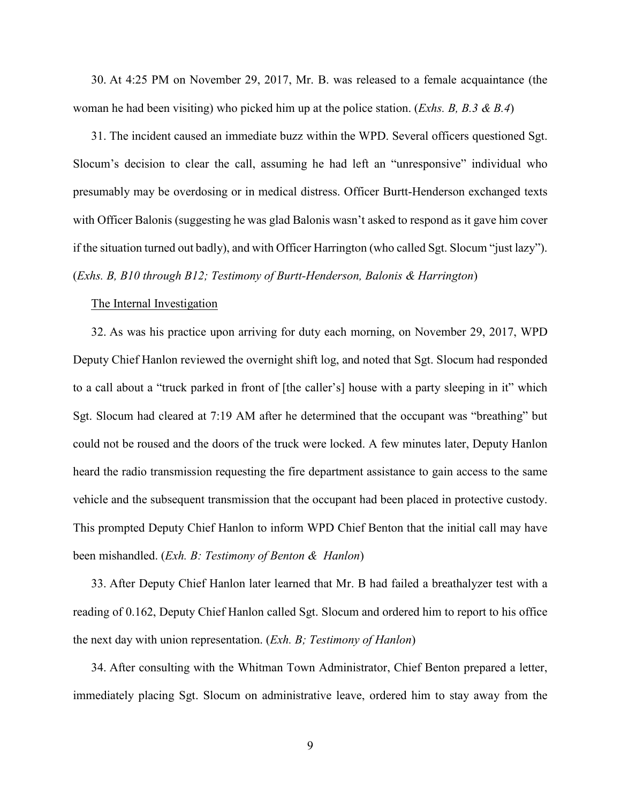30. At 4:25 PM on November 29, 2017, Mr. B. was released to a female acquaintance (the woman he had been visiting) who picked him up at the police station. (*Exhs. B, B.3 & B.4*)

31. The incident caused an immediate buzz within the WPD. Several officers questioned Sgt. Slocum's decision to clear the call, assuming he had left an "unresponsive" individual who presumably may be overdosing or in medical distress. Officer Burtt-Henderson exchanged texts with Officer Balonis (suggesting he was glad Balonis wasn't asked to respond as it gave him cover if the situation turned out badly), and with Officer Harrington (who called Sgt. Slocum "just lazy"). (*Exhs. B, B10 through B12; Testimony of Burtt-Henderson, Balonis & Harrington*)

## The Internal Investigation

32. As was his practice upon arriving for duty each morning, on November 29, 2017, WPD Deputy Chief Hanlon reviewed the overnight shift log, and noted that Sgt. Slocum had responded to a call about a "truck parked in front of [the caller's] house with a party sleeping in it" which Sgt. Slocum had cleared at 7:19 AM after he determined that the occupant was "breathing" but could not be roused and the doors of the truck were locked. A few minutes later, Deputy Hanlon heard the radio transmission requesting the fire department assistance to gain access to the same vehicle and the subsequent transmission that the occupant had been placed in protective custody. This prompted Deputy Chief Hanlon to inform WPD Chief Benton that the initial call may have been mishandled. (*Exh. B: Testimony of Benton & Hanlon*)

33. After Deputy Chief Hanlon later learned that Mr. B had failed a breathalyzer test with a reading of 0.162, Deputy Chief Hanlon called Sgt. Slocum and ordered him to report to his office the next day with union representation. (*Exh. B; Testimony of Hanlon*)

34. After consulting with the Whitman Town Administrator, Chief Benton prepared a letter, immediately placing Sgt. Slocum on administrative leave, ordered him to stay away from the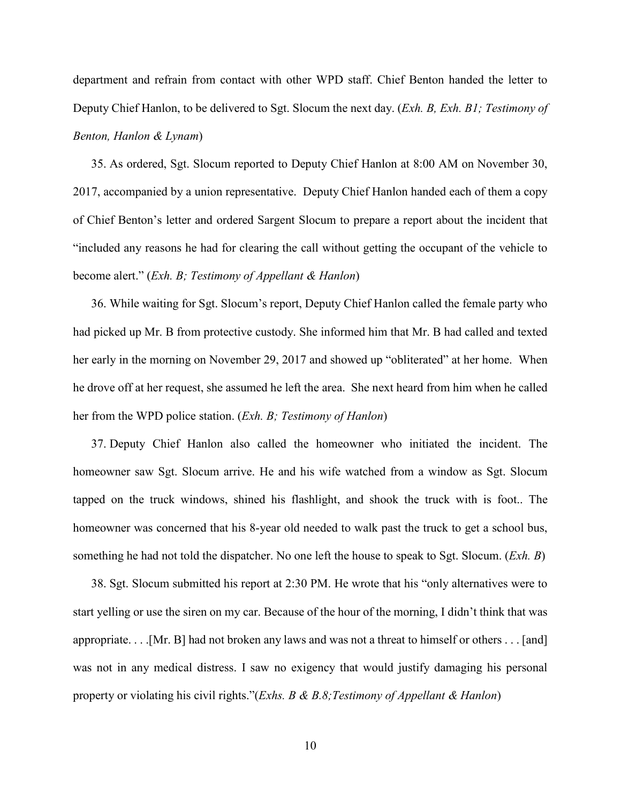department and refrain from contact with other WPD staff. Chief Benton handed the letter to Deputy Chief Hanlon, to be delivered to Sgt. Slocum the next day. (*Exh. B, Exh. B1; Testimony of Benton, Hanlon & Lynam*)

35. As ordered, Sgt. Slocum reported to Deputy Chief Hanlon at 8:00 AM on November 30, 2017, accompanied by a union representative. Deputy Chief Hanlon handed each of them a copy of Chief Benton's letter and ordered Sargent Slocum to prepare a report about the incident that "included any reasons he had for clearing the call without getting the occupant of the vehicle to become alert." (*Exh. B; Testimony of Appellant & Hanlon*)

36. While waiting for Sgt. Slocum's report, Deputy Chief Hanlon called the female party who had picked up Mr. B from protective custody. She informed him that Mr. B had called and texted her early in the morning on November 29, 2017 and showed up "obliterated" at her home. When he drove off at her request, she assumed he left the area. She next heard from him when he called her from the WPD police station. (*Exh. B; Testimony of Hanlon*)

37. Deputy Chief Hanlon also called the homeowner who initiated the incident. The homeowner saw Sgt. Slocum arrive. He and his wife watched from a window as Sgt. Slocum tapped on the truck windows, shined his flashlight, and shook the truck with is foot.. The homeowner was concerned that his 8-year old needed to walk past the truck to get a school bus, something he had not told the dispatcher. No one left the house to speak to Sgt. Slocum. (*Exh. B*)

38. Sgt. Slocum submitted his report at 2:30 PM. He wrote that his "only alternatives were to start yelling or use the siren on my car. Because of the hour of the morning, I didn't think that was appropriate. . . .[Mr. B] had not broken any laws and was not a threat to himself or others . . . [and] was not in any medical distress. I saw no exigency that would justify damaging his personal property or violating his civil rights."(*Exhs. B & B.8;Testimony of Appellant & Hanlon*)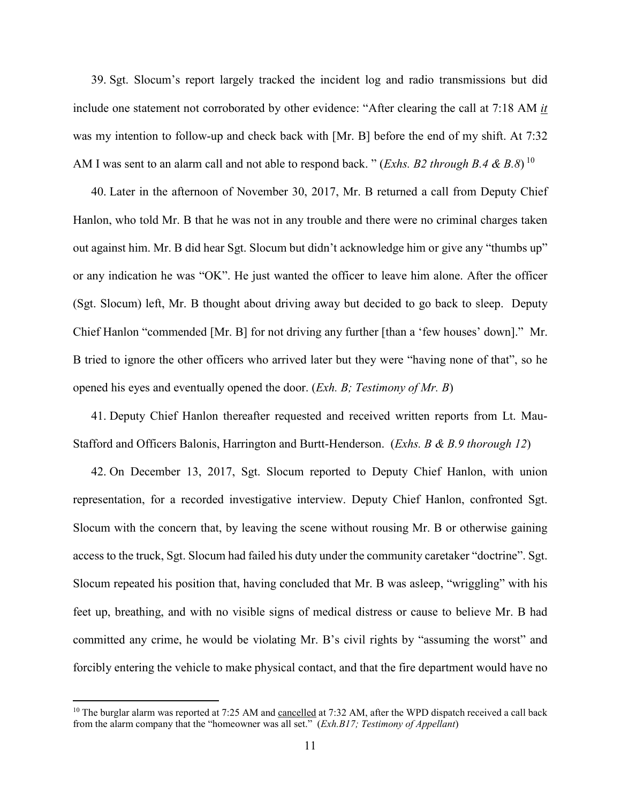39. Sgt. Slocum's report largely tracked the incident log and radio transmissions but did include one statement not corroborated by other evidence: "After clearing the call at 7:18 AM *it* was my intention to follow-up and check back with [Mr. B] before the end of my shift. At 7:32 AM I was sent to an alarm call and not able to respond back. " (*Exhs. B2 through B.4 & B.8*) <sup>10</sup>

40. Later in the afternoon of November 30, 2017, Mr. B returned a call from Deputy Chief Hanlon, who told Mr. B that he was not in any trouble and there were no criminal charges taken out against him. Mr. B did hear Sgt. Slocum but didn't acknowledge him or give any "thumbs up" or any indication he was "OK". He just wanted the officer to leave him alone. After the officer (Sgt. Slocum) left, Mr. B thought about driving away but decided to go back to sleep. Deputy Chief Hanlon "commended [Mr. B] for not driving any further [than a 'few houses' down]." Mr. B tried to ignore the other officers who arrived later but they were "having none of that", so he opened his eyes and eventually opened the door. (*Exh. B; Testimony of Mr. B*)

41. Deputy Chief Hanlon thereafter requested and received written reports from Lt. Mau-Stafford and Officers Balonis, Harrington and Burtt-Henderson. (*Exhs. B & B.9 thorough 12*)

42. On December 13, 2017, Sgt. Slocum reported to Deputy Chief Hanlon, with union representation, for a recorded investigative interview. Deputy Chief Hanlon, confronted Sgt. Slocum with the concern that, by leaving the scene without rousing Mr. B or otherwise gaining access to the truck, Sgt. Slocum had failed his duty under the community caretaker "doctrine". Sgt. Slocum repeated his position that, having concluded that Mr. B was asleep, "wriggling" with his feet up, breathing, and with no visible signs of medical distress or cause to believe Mr. B had committed any crime, he would be violating Mr. B's civil rights by "assuming the worst" and forcibly entering the vehicle to make physical contact, and that the fire department would have no

 $10$  The burglar alarm was reported at 7:25 AM and cancelled at 7:32 AM, after the WPD dispatch received a call back from the alarm company that the "homeowner was all set." (*Exh.B17; Testimony of Appellant*)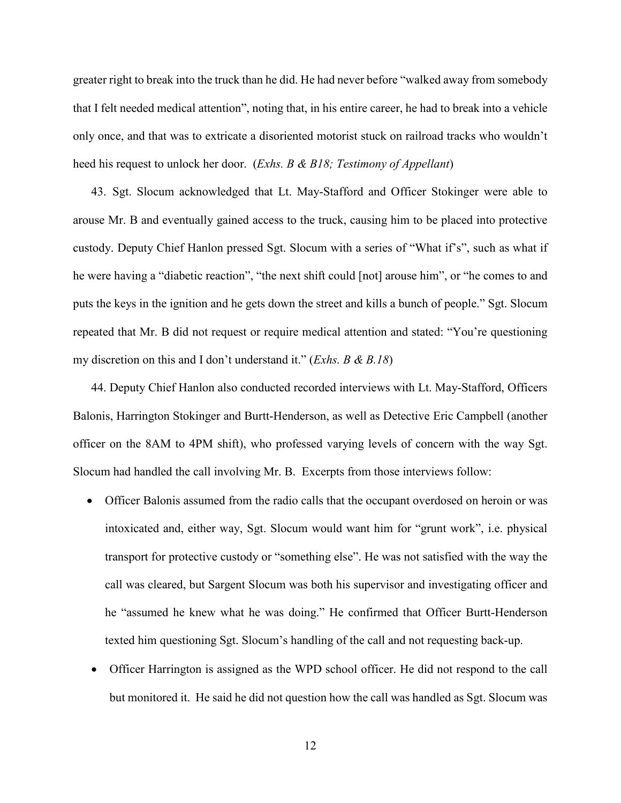greater right to break into the truck than he did. He had never before "walked away from somebody that I felt needed medical attention", noting that, in his entire career, he had to break into a vehicle only once, and that was to extricate a disoriented motorist stuck on railroad tracks who wouldn't heed his request to unlock her door. (*Exhs. B & B18; Testimony of Appellant*)

43. Sgt. Slocum acknowledged that Lt. May-Stafford and Officer Stokinger were able to arouse Mr. B and eventually gained access to the truck, causing him to be placed into protective custody. Deputy Chief Hanlon pressed Sgt. Slocum with a series of "What if's", such as what if he were having a "diabetic reaction", "the next shift could [not] arouse him", or "he comes to and puts the keys in the ignition and he gets down the street and kills a bunch of people." Sgt. Slocum repeated that Mr. B did not request or require medical attention and stated: "You're questioning my discretion on this and I don't understand it." (*Exhs. B & B.18*)

44. Deputy Chief Hanlon also conducted recorded interviews with Lt. May-Stafford, Officers Balonis, Harrington Stokinger and Burtt-Henderson, as well as Detective Eric Campbell (another officer on the 8AM to 4PM shift), who professed varying levels of concern with the way Sgt. Slocum had handled the call involving Mr. B. Excerpts from those interviews follow:

- Officer Balonis assumed from the radio calls that the occupant overdosed on heroin or was intoxicated and, either way, Sgt. Slocum would want him for "grunt work", i.e. physical transport for protective custody or "something else". He was not satisfied with the way the call was cleared, but Sargent Slocum was both his supervisor and investigating officer and he "assumed he knew what he was doing." He confirmed that Officer Burtt-Henderson texted him questioning Sgt. Slocum's handling of the call and not requesting back-up.
- Officer Harrington is assigned as the WPD school officer. He did not respond to the call but monitored it. He said he did not question how the call was handled as Sgt. Slocum was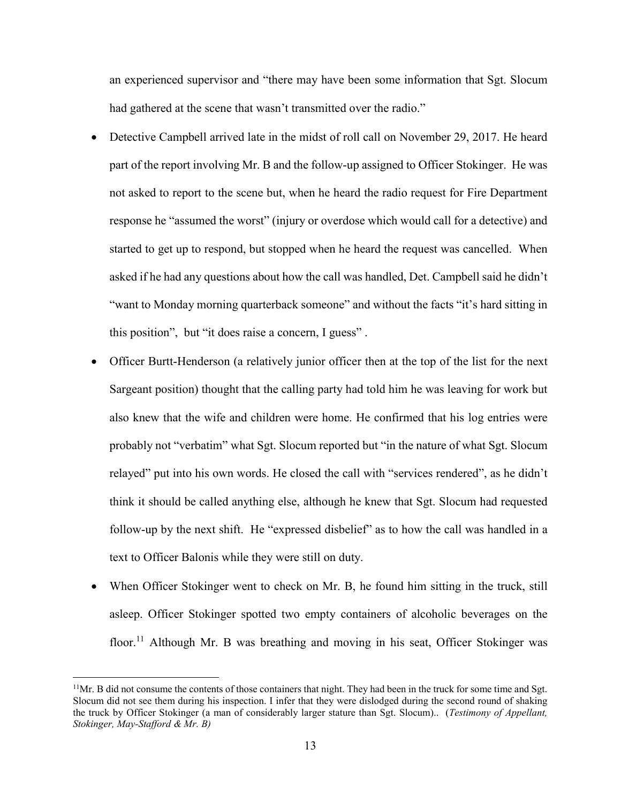an experienced supervisor and "there may have been some information that Sgt. Slocum had gathered at the scene that wasn't transmitted over the radio."

- Detective Campbell arrived late in the midst of roll call on November 29, 2017. He heard part of the report involving Mr. B and the follow-up assigned to Officer Stokinger. He was not asked to report to the scene but, when he heard the radio request for Fire Department response he "assumed the worst" (injury or overdose which would call for a detective) and started to get up to respond, but stopped when he heard the request was cancelled. When asked if he had any questions about how the call was handled, Det. Campbell said he didn't "want to Monday morning quarterback someone" and without the facts "it's hard sitting in this position", but "it does raise a concern, I guess" .
- Officer Burtt-Henderson (a relatively junior officer then at the top of the list for the next Sargeant position) thought that the calling party had told him he was leaving for work but also knew that the wife and children were home. He confirmed that his log entries were probably not "verbatim" what Sgt. Slocum reported but "in the nature of what Sgt. Slocum relayed" put into his own words. He closed the call with "services rendered", as he didn't think it should be called anything else, although he knew that Sgt. Slocum had requested follow-up by the next shift. He "expressed disbelief" as to how the call was handled in a text to Officer Balonis while they were still on duty.
- When Officer Stokinger went to check on Mr. B, he found him sitting in the truck, still asleep. Officer Stokinger spotted two empty containers of alcoholic beverages on the floor.<sup>11</sup> Although Mr. B was breathing and moving in his seat, Officer Stokinger was

 $11$ Mr. B did not consume the contents of those containers that night. They had been in the truck for some time and Sgt. Slocum did not see them during his inspection. I infer that they were dislodged during the second round of shaking the truck by Officer Stokinger (a man of considerably larger stature than Sgt. Slocum).. (*Testimony of Appellant, Stokinger, May-Stafford & Mr. B)*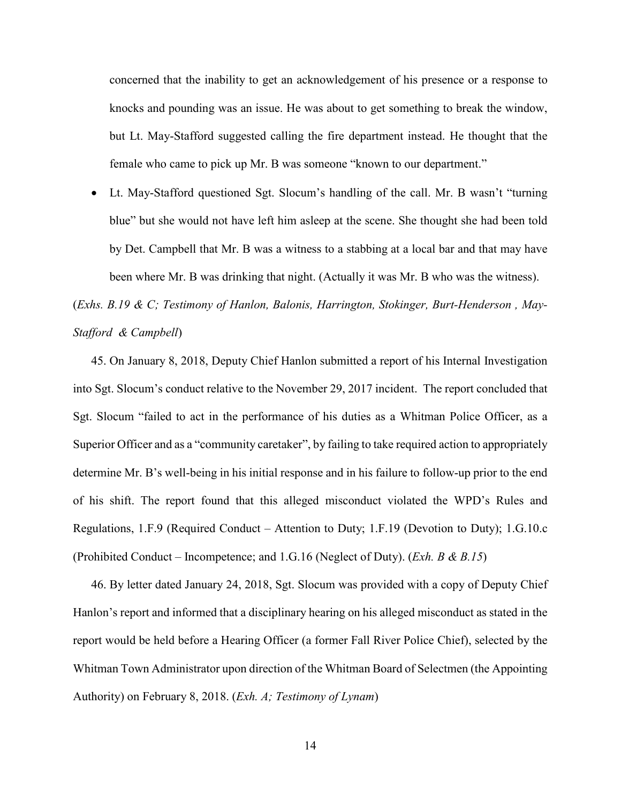concerned that the inability to get an acknowledgement of his presence or a response to knocks and pounding was an issue. He was about to get something to break the window, but Lt. May-Stafford suggested calling the fire department instead. He thought that the female who came to pick up Mr. B was someone "known to our department."

 Lt. May-Stafford questioned Sgt. Slocum's handling of the call. Mr. B wasn't "turning blue" but she would not have left him asleep at the scene. She thought she had been told by Det. Campbell that Mr. B was a witness to a stabbing at a local bar and that may have been where Mr. B was drinking that night. (Actually it was Mr. B who was the witness).

(*Exhs. B.19 & C; Testimony of Hanlon, Balonis, Harrington, Stokinger, Burt-Henderson , May-Stafford & Campbell*)

45. On January 8, 2018, Deputy Chief Hanlon submitted a report of his Internal Investigation into Sgt. Slocum's conduct relative to the November 29, 2017 incident. The report concluded that Sgt. Slocum "failed to act in the performance of his duties as a Whitman Police Officer, as a Superior Officer and as a "community caretaker", by failing to take required action to appropriately determine Mr. B's well-being in his initial response and in his failure to follow-up prior to the end of his shift. The report found that this alleged misconduct violated the WPD's Rules and Regulations, 1.F.9 (Required Conduct – Attention to Duty; 1.F.19 (Devotion to Duty); 1.G.10.c (Prohibited Conduct – Incompetence; and 1.G.16 (Neglect of Duty). (*Exh. B & B.15*)

46. By letter dated January 24, 2018, Sgt. Slocum was provided with a copy of Deputy Chief Hanlon's report and informed that a disciplinary hearing on his alleged misconduct as stated in the report would be held before a Hearing Officer (a former Fall River Police Chief), selected by the Whitman Town Administrator upon direction of the Whitman Board of Selectmen (the Appointing Authority) on February 8, 2018. (*Exh. A; Testimony of Lynam*)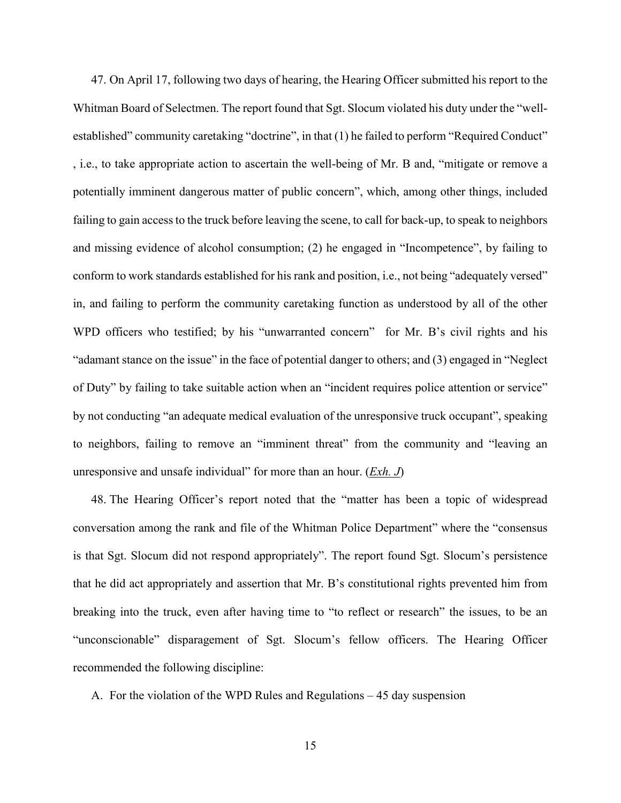47. On April 17, following two days of hearing, the Hearing Officer submitted his report to the Whitman Board of Selectmen. The report found that Sgt. Slocum violated his duty under the "wellestablished" community caretaking "doctrine", in that (1) he failed to perform "Required Conduct" , i.e., to take appropriate action to ascertain the well-being of Mr. B and, "mitigate or remove a potentially imminent dangerous matter of public concern", which, among other things, included failing to gain accessto the truck before leaving the scene, to call for back-up, to speak to neighbors and missing evidence of alcohol consumption; (2) he engaged in "Incompetence", by failing to conform to work standards established for his rank and position, i.e., not being "adequately versed" in, and failing to perform the community caretaking function as understood by all of the other WPD officers who testified; by his "unwarranted concern" for Mr. B's civil rights and his "adamant stance on the issue" in the face of potential danger to others; and (3) engaged in "Neglect of Duty" by failing to take suitable action when an "incident requires police attention or service" by not conducting "an adequate medical evaluation of the unresponsive truck occupant", speaking to neighbors, failing to remove an "imminent threat" from the community and "leaving an unresponsive and unsafe individual" for more than an hour. (*Exh. J*)

48. The Hearing Officer's report noted that the "matter has been a topic of widespread conversation among the rank and file of the Whitman Police Department" where the "consensus is that Sgt. Slocum did not respond appropriately". The report found Sgt. Slocum's persistence that he did act appropriately and assertion that Mr. B's constitutional rights prevented him from breaking into the truck, even after having time to "to reflect or research" the issues, to be an "unconscionable" disparagement of Sgt. Slocum's fellow officers. The Hearing Officer recommended the following discipline:

A. For the violation of the WPD Rules and Regulations – 45 day suspension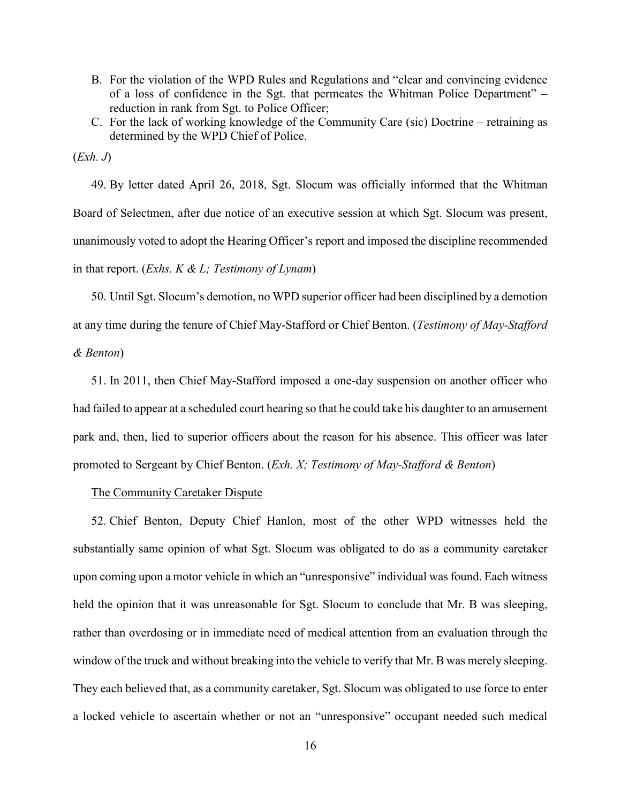- B. For the violation of the WPD Rules and Regulations and "clear and convincing evidence of a loss of confidence in the Sgt. that permeates the Whitman Police Department" – reduction in rank from Sgt. to Police Officer;
- C. For the lack of working knowledge of the Community Care (sic) Doctrine retraining as determined by the WPD Chief of Police.

(*Exh. J*)

49. By letter dated April 26, 2018, Sgt. Slocum was officially informed that the Whitman Board of Selectmen, after due notice of an executive session at which Sgt. Slocum was present, unanimously voted to adopt the Hearing Officer's report and imposed the discipline recommended in that report. (*Exhs. K & L; Testimony of Lynam*)

50. Until Sgt. Slocum's demotion, no WPD superior officer had been disciplined by a demotion at any time during the tenure of Chief May-Stafford or Chief Benton. (*Testimony of May-Stafford & Benton*)

51. In 2011, then Chief May-Stafford imposed a one-day suspension on another officer who had failed to appear at a scheduled court hearing so that he could take his daughter to an amusement park and, then, lied to superior officers about the reason for his absence. This officer was later promoted to Sergeant by Chief Benton. (*Exh. X; Testimony of May-Stafford & Benton*)

## The Community Caretaker Dispute

52. Chief Benton, Deputy Chief Hanlon, most of the other WPD witnesses held the substantially same opinion of what Sgt. Slocum was obligated to do as a community caretaker upon coming upon a motor vehicle in which an "unresponsive" individual was found. Each witness held the opinion that it was unreasonable for Sgt. Slocum to conclude that Mr. B was sleeping, rather than overdosing or in immediate need of medical attention from an evaluation through the window of the truck and without breaking into the vehicle to verify that Mr. B was merely sleeping. They each believed that, as a community caretaker, Sgt. Slocum was obligated to use force to enter a locked vehicle to ascertain whether or not an "unresponsive" occupant needed such medical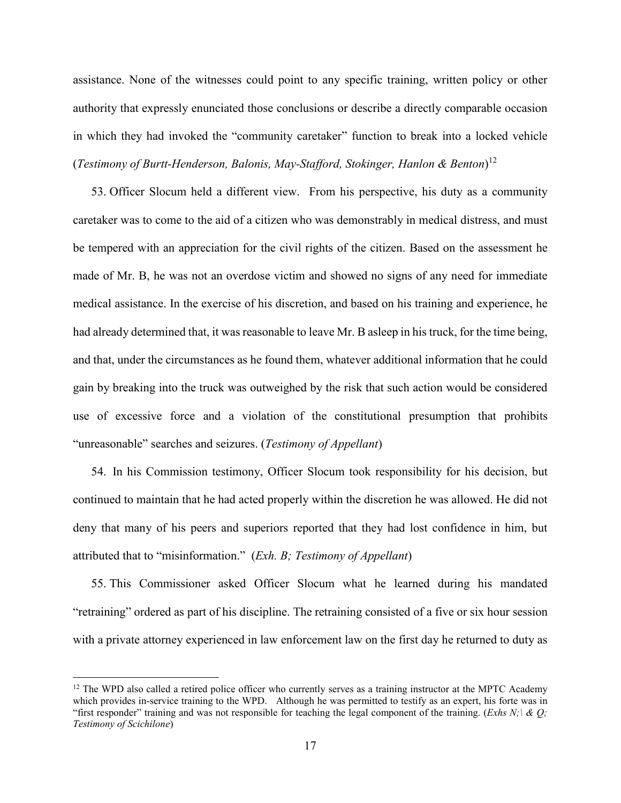assistance. None of the witnesses could point to any specific training, written policy or other authority that expressly enunciated those conclusions or describe a directly comparable occasion in which they had invoked the "community caretaker" function to break into a locked vehicle (*Testimony of Burtt-Henderson, Balonis, May-Stafford, Stokinger, Hanlon & Benton*) 12

53. Officer Slocum held a different view. From his perspective, his duty as a community caretaker was to come to the aid of a citizen who was demonstrably in medical distress, and must be tempered with an appreciation for the civil rights of the citizen. Based on the assessment he made of Mr. B, he was not an overdose victim and showed no signs of any need for immediate medical assistance. In the exercise of his discretion, and based on his training and experience, he had already determined that, it was reasonable to leave Mr. B asleep in his truck, for the time being, and that, under the circumstances as he found them, whatever additional information that he could gain by breaking into the truck was outweighed by the risk that such action would be considered use of excessive force and a violation of the constitutional presumption that prohibits "unreasonable" searches and seizures. (*Testimony of Appellant*)

54. In his Commission testimony, Officer Slocum took responsibility for his decision, but continued to maintain that he had acted properly within the discretion he was allowed. He did not deny that many of his peers and superiors reported that they had lost confidence in him, but attributed that to "misinformation." (*Exh. B; Testimony of Appellant*)

55. This Commissioner asked Officer Slocum what he learned during his mandated "retraining" ordered as part of his discipline. The retraining consisted of a five or six hour session with a private attorney experienced in law enforcement law on the first day he returned to duty as

 $12$  The WPD also called a retired police officer who currently serves as a training instructor at the MPTC Academy which provides in-service training to the WPD. Although he was permitted to testify as an expert, his forte was in "first responder" training and was not responsible for teaching the legal component of the training. (*Exhs N;\ & Q; Testimony of Scichilone*)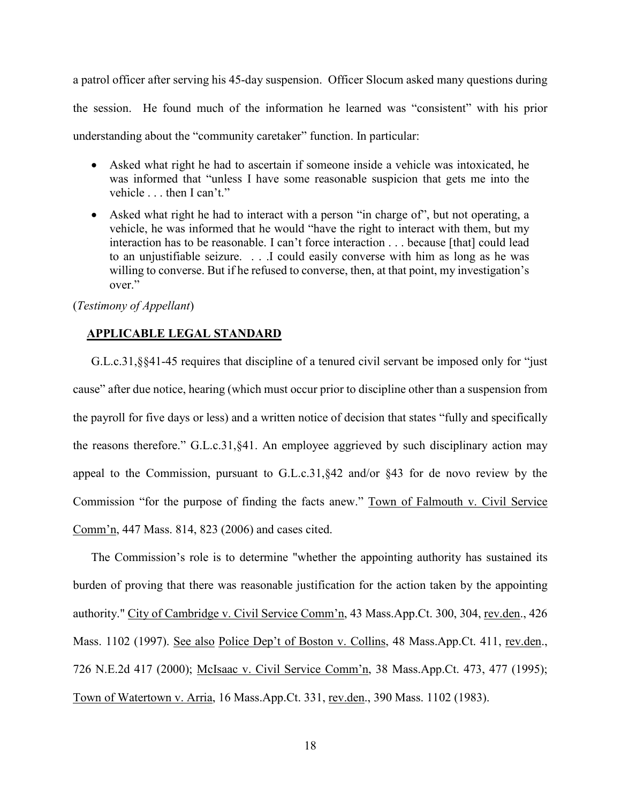a patrol officer after serving his 45-day suspension. Officer Slocum asked many questions during the session. He found much of the information he learned was "consistent" with his prior understanding about the "community caretaker" function. In particular:

- Asked what right he had to ascertain if someone inside a vehicle was intoxicated, he was informed that "unless I have some reasonable suspicion that gets me into the vehicle . . . then I can't."
- Asked what right he had to interact with a person "in charge of", but not operating, a vehicle, he was informed that he would "have the right to interact with them, but my interaction has to be reasonable. I can't force interaction . . . because [that] could lead to an unjustifiable seizure. . . .I could easily converse with him as long as he was willing to converse. But if he refused to converse, then, at that point, my investigation's over."

## (*Testimony of Appellant*)

## **APPLICABLE LEGAL STANDARD**

G.L.c.31,§§41-45 requires that discipline of a tenured civil servant be imposed only for "just cause" after due notice, hearing (which must occur prior to discipline other than a suspension from the payroll for five days or less) and a written notice of decision that states "fully and specifically the reasons therefore." G.L.c.31,§41. An employee aggrieved by such disciplinary action may appeal to the Commission, pursuant to G.L.c.31,§42 and/or §43 for de novo review by the Commission "for the purpose of finding the facts anew." Town of Falmouth v. Civil Service Comm'n, 447 Mass. 814, 823 (2006) and cases cited.

The Commission's role is to determine "whether the appointing authority has sustained its burden of proving that there was reasonable justification for the action taken by the appointing authority." City of Cambridge v. Civil Service Comm'n, 43 Mass.App.Ct. 300, 304, rev.den., 426 Mass. 1102 (1997). See also Police Dep't of Boston v. Collins, 48 Mass.App.Ct. 411, rev.den., 726 N.E.2d 417 (2000); McIsaac v. Civil Service Comm'n, 38 Mass.App.Ct. 473, 477 (1995); Town of Watertown v. Arria, 16 Mass.App.Ct. 331, rev.den., 390 Mass. 1102 (1983).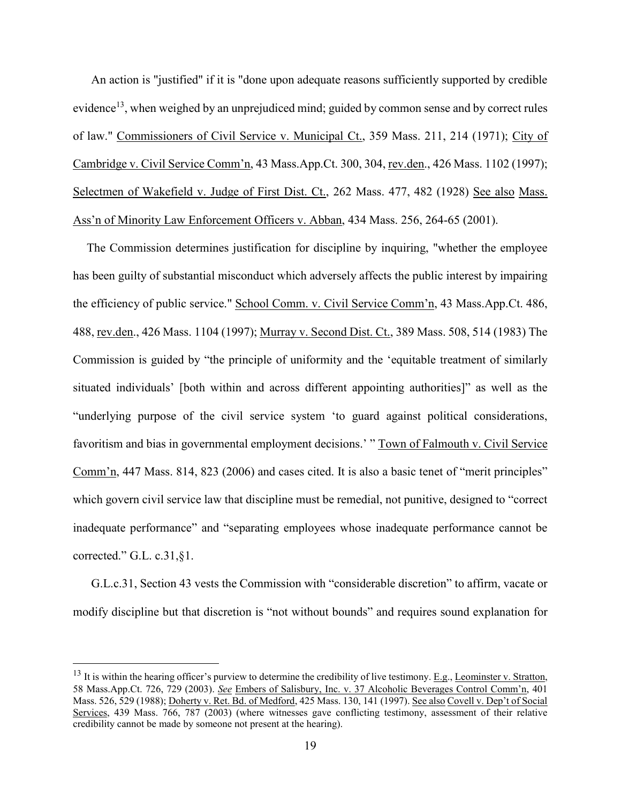An action is "justified" if it is "done upon adequate reasons sufficiently supported by credible evidence<sup>13</sup>, when weighed by an unprejudiced mind; guided by common sense and by correct rules of law." Commissioners of Civil Service v. Municipal Ct., 359 Mass. 211, 214 (1971); City of Cambridge v. Civil Service Comm'n, 43 Mass.App.Ct. 300, 304, rev.den., 426 Mass. 1102 (1997); Selectmen of Wakefield v. Judge of First Dist. Ct., 262 Mass. 477, 482 (1928) See also Mass. Ass'n of Minority Law Enforcement Officers v. Abban, 434 Mass. 256, 264-65 (2001).

The Commission determines justification for discipline by inquiring, "whether the employee has been guilty of substantial misconduct which adversely affects the public interest by impairing the efficiency of public service." School Comm. v. Civil Service Comm'n, 43 Mass.App.Ct. 486, 488, rev.den., 426 Mass. 1104 (1997); Murray v. Second Dist. Ct., 389 Mass. 508, 514 (1983) The Commission is guided by "the principle of uniformity and the 'equitable treatment of similarly situated individuals' [both within and across different appointing authorities]" as well as the "underlying purpose of the civil service system 'to guard against political considerations, favoritism and bias in governmental employment decisions.' " Town of Falmouth v. Civil Service Comm'n, 447 Mass. 814, 823 (2006) and cases cited. It is also a basic tenet of "merit principles" which govern civil service law that discipline must be remedial, not punitive, designed to "correct inadequate performance" and "separating employees whose inadequate performance cannot be corrected." G.L. c.31,§1.

G.L.c.31, Section 43 vests the Commission with "considerable discretion" to affirm, vacate or modify discipline but that discretion is "not without bounds" and requires sound explanation for

 $13$  It is within the hearing officer's purview to determine the credibility of live testimony. E.g., Leominster v. Stratton, 58 Mass.App.Ct. 726, 729 (2003). *See* Embers of Salisbury, Inc. v. 37 Alcoholic Beverages Control Comm'n, 401 Mass. 526, 529 (1988); Doherty v. Ret. Bd. of Medford, 425 Mass. 130, 141 (1997). See also Covell v. Dep't of Social Services, 439 Mass. 766, 787 (2003) (where witnesses gave conflicting testimony, assessment of their relative credibility cannot be made by someone not present at the hearing).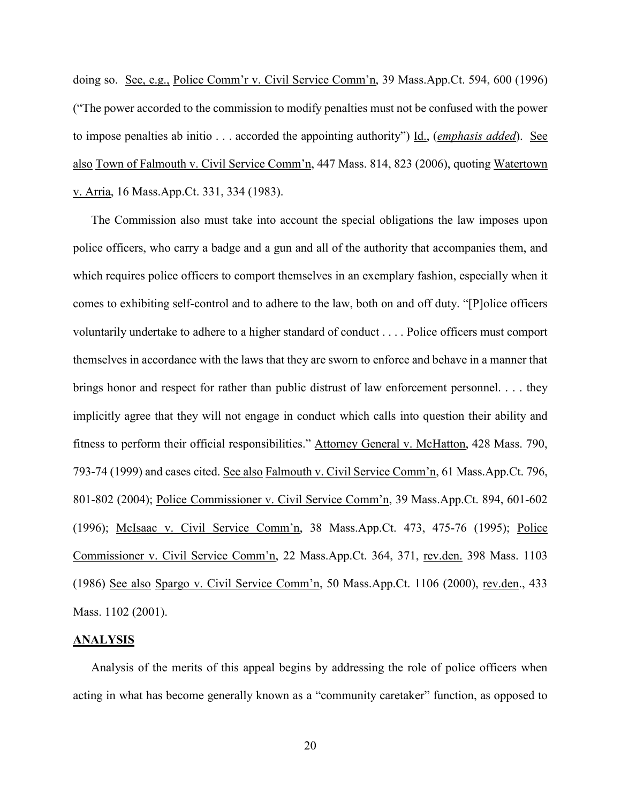doing so. See, e.g., Police Comm'r v. Civil Service Comm'n, 39 Mass.App.Ct. 594, 600 (1996) ("The power accorded to the commission to modify penalties must not be confused with the power to impose penalties ab initio . . . accorded the appointing authority") Id., (*emphasis added*). See also Town of Falmouth v. Civil Service Comm'n, 447 Mass. 814, 823 (2006), quoting Watertown v. Arria, 16 Mass.App.Ct. 331, 334 (1983).

The Commission also must take into account the special obligations the law imposes upon police officers, who carry a badge and a gun and all of the authority that accompanies them, and which requires police officers to comport themselves in an exemplary fashion, especially when it comes to exhibiting self-control and to adhere to the law, both on and off duty. "[P]olice officers voluntarily undertake to adhere to a higher standard of conduct . . . . Police officers must comport themselves in accordance with the laws that they are sworn to enforce and behave in a manner that brings honor and respect for rather than public distrust of law enforcement personnel. . . . they implicitly agree that they will not engage in conduct which calls into question their ability and fitness to perform their official responsibilities." Attorney General v. McHatton, 428 Mass. 790, 793-74 (1999) and cases cited. See also Falmouth v. Civil Service Comm'n, 61 Mass.App.Ct. 796, 801-802 (2004); Police Commissioner v. Civil Service Comm'n, 39 Mass.App.Ct. 894, 601-602 (1996); McIsaac v. Civil Service Comm'n, 38 Mass.App.Ct. 473, 475-76 (1995); Police Commissioner v. Civil Service Comm'n, 22 Mass.App.Ct. 364, 371, rev.den. 398 Mass. 1103 (1986) See also Spargo v. Civil Service Comm'n, 50 Mass.App.Ct. 1106 (2000), rev.den., 433 Mass. 1102 (2001).

### **ANALYSIS**

Analysis of the merits of this appeal begins by addressing the role of police officers when acting in what has become generally known as a "community caretaker" function, as opposed to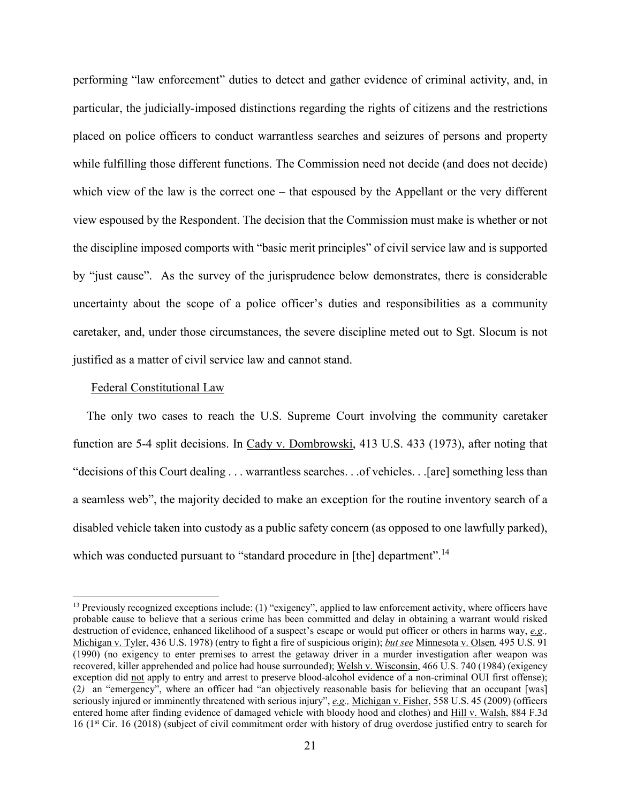performing "law enforcement" duties to detect and gather evidence of criminal activity, and, in particular, the judicially-imposed distinctions regarding the rights of citizens and the restrictions placed on police officers to conduct warrantless searches and seizures of persons and property while fulfilling those different functions. The Commission need not decide (and does not decide) which view of the law is the correct one – that espoused by the Appellant or the very different view espoused by the Respondent. The decision that the Commission must make is whether or not the discipline imposed comports with "basic merit principles" of civil service law and is supported by "just cause". As the survey of the jurisprudence below demonstrates, there is considerable uncertainty about the scope of a police officer's duties and responsibilities as a community caretaker, and, under those circumstances, the severe discipline meted out to Sgt. Slocum is not justified as a matter of civil service law and cannot stand.

### Federal Constitutional Law

The only two cases to reach the U.S. Supreme Court involving the community caretaker function are 5-4 split decisions. In Cady v. Dombrowski, 413 U.S. 433 (1973), after noting that "decisions of this Court dealing . . . warrantless searches. . .of vehicles. . .[are] something less than a seamless web", the majority decided to make an exception for the routine inventory search of a disabled vehicle taken into custody as a public safety concern (as opposed to one lawfully parked), which was conducted pursuant to "standard procedure in [the] department".<sup>14</sup>

 $13$  Previously recognized exceptions include: (1) "exigency", applied to law enforcement activity, where officers have probable cause to believe that a serious crime has been committed and delay in obtaining a warrant would risked destruction of evidence, enhanced likelihood of a suspect's escape or would put officer or others in harms way, *e.g.,*  Michigan v. Tyler, 436 U.S. 1978) (entry to fight a fire of suspicious origin); *but see* Minnesota v. Olsen*,* 495 U.S. 91 (1990) (no exigency to enter premises to arrest the getaway driver in a murder investigation after weapon was recovered, killer apprehended and police had house surrounded); Welsh v. Wisconsin, 466 U.S. 740 (1984) (exigency exception did not apply to entry and arrest to preserve blood-alcohol evidence of a non-criminal OUI first offense); (2*)* an "emergency", where an officer had "an objectively reasonable basis for believing that an occupant [was] seriously injured or imminently threatened with serious injury", *e.g.,* Michigan v. Fisher, 558 U.S. 45 (2009) (officers entered home after finding evidence of damaged vehicle with bloody hood and clothes) and Hill v. Walsh, 884 F.3d 16 (1st Cir. 16 (2018) (subject of civil commitment order with history of drug overdose justified entry to search for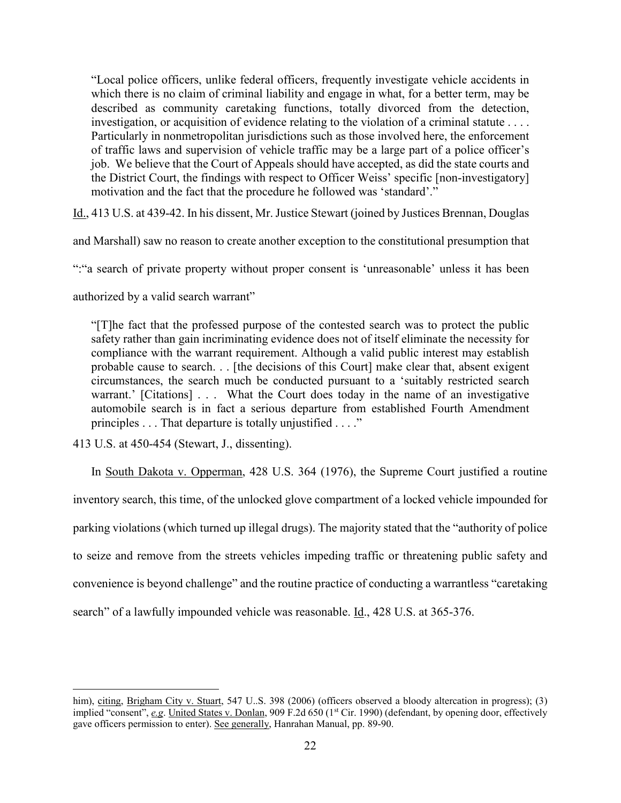"Local police officers, unlike federal officers, frequently investigate vehicle accidents in which there is no claim of criminal liability and engage in what, for a better term, may be described as community caretaking functions, totally divorced from the detection, investigation, or acquisition of evidence relating to the violation of a criminal statute . . . . Particularly in nonmetropolitan jurisdictions such as those involved here, the enforcement of traffic laws and supervision of vehicle traffic may be a large part of a police officer's job. We believe that the Court of Appeals should have accepted, as did the state courts and the District Court, the findings with respect to Officer Weiss' specific [non-investigatory] motivation and the fact that the procedure he followed was 'standard'."

Id., 413 U.S. at 439-42. In his dissent, Mr. Justice Stewart (joined by Justices Brennan, Douglas

and Marshall) saw no reason to create another exception to the constitutional presumption that

":"a search of private property without proper consent is 'unreasonable' unless it has been

authorized by a valid search warrant"

"[T]he fact that the professed purpose of the contested search was to protect the public safety rather than gain incriminating evidence does not of itself eliminate the necessity for compliance with the warrant requirement. Although a valid public interest may establish probable cause to search. . . [the decisions of this Court] make clear that, absent exigent circumstances, the search much be conducted pursuant to a 'suitably restricted search warrant.' [Citations] . . . What the Court does today in the name of an investigative automobile search is in fact a serious departure from established Fourth Amendment principles . . . That departure is totally unjustified . . . ."

413 U.S. at 450-454 (Stewart, J., dissenting).

 $\overline{a}$ 

In South Dakota v. Opperman, 428 U.S. 364 (1976), the Supreme Court justified a routine inventory search, this time, of the unlocked glove compartment of a locked vehicle impounded for parking violations (which turned up illegal drugs). The majority stated that the "authority of police to seize and remove from the streets vehicles impeding traffic or threatening public safety and convenience is beyond challenge" and the routine practice of conducting a warrantless "caretaking search" of a lawfully impounded vehicle was reasonable. Id., 428 U.S. at 365-376.

him), citing, Brigham City v. Stuart, 547 U.S. 398 (2006) (officers observed a bloody altercation in progress); (3) implied "consent", *e.g.* United States v. Donlan, 909 F.2d 650 (1<sup>st</sup> Cir. 1990) (defendant, by opening door, effectively gave officers permission to enter). See generally, Hanrahan Manual, pp. 89-90.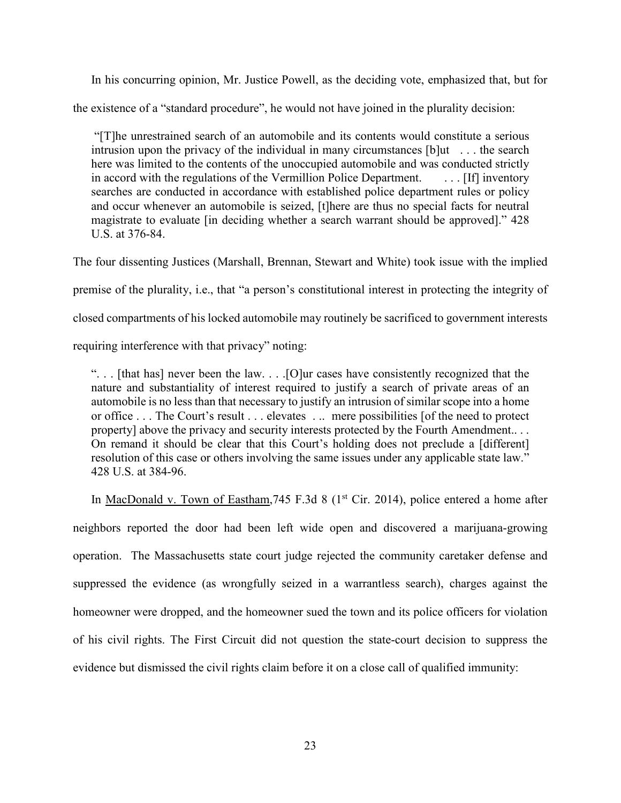In his concurring opinion, Mr. Justice Powell, as the deciding vote, emphasized that, but for

the existence of a "standard procedure", he would not have joined in the plurality decision:

"[T]he unrestrained search of an automobile and its contents would constitute a serious intrusion upon the privacy of the individual in many circumstances [b]ut . . . the search here was limited to the contents of the unoccupied automobile and was conducted strictly in accord with the regulations of the Vermillion Police Department. . . . . [If] inventory searches are conducted in accordance with established police department rules or policy and occur whenever an automobile is seized, [t]here are thus no special facts for neutral magistrate to evaluate [in deciding whether a search warrant should be approved]." 428 U.S. at 376-84.

The four dissenting Justices (Marshall, Brennan, Stewart and White) took issue with the implied premise of the plurality, i.e., that "a person's constitutional interest in protecting the integrity of closed compartments of his locked automobile may routinely be sacrificed to government interests requiring interference with that privacy" noting:

". . . [that has] never been the law. . . .[O]ur cases have consistently recognized that the nature and substantiality of interest required to justify a search of private areas of an automobile is no less than that necessary to justify an intrusion of similar scope into a home or office . . . The Court's result . . . elevates . .. mere possibilities [of the need to protect property] above the privacy and security interests protected by the Fourth Amendment.. . . On remand it should be clear that this Court's holding does not preclude a [different] resolution of this case or others involving the same issues under any applicable state law." 428 U.S. at 384-96.

In MacDonald v. Town of Eastham, 745 F.3d 8 ( $1<sup>st</sup> Cir. 2014$ ), police entered a home after neighbors reported the door had been left wide open and discovered a marijuana-growing operation. The Massachusetts state court judge rejected the community caretaker defense and suppressed the evidence (as wrongfully seized in a warrantless search), charges against the homeowner were dropped, and the homeowner sued the town and its police officers for violation of his civil rights. The First Circuit did not question the state-court decision to suppress the evidence but dismissed the civil rights claim before it on a close call of qualified immunity: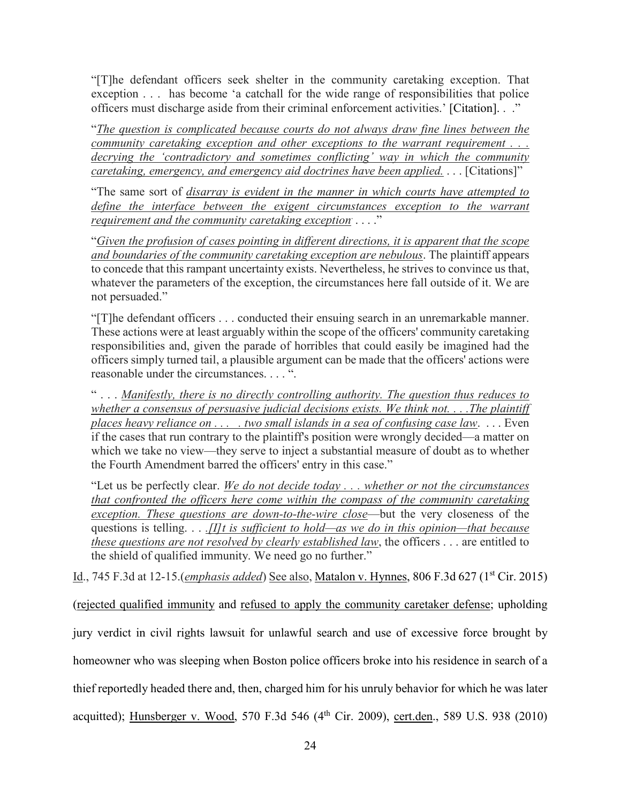"[T]he defendant officers seek shelter in the community caretaking exception. That exception . . . has become 'a catchall for the wide range of responsibilities that police officers must discharge aside from their criminal enforcement activities.' [Citation]. . ."

"*The question is complicated because courts do not always draw fine lines between the community caretaking exception and other exceptions to the warrant requirement . . . decrying the 'contradictory and sometimes conflicting' way in which the community caretaking, emergency, and emergency aid doctrines have been applied.* . . . [Citations]"

"The same sort of *disarray is evident in the manner in which courts have attempted to*  define the interface between the exigent circumstances exception to the warrant *requirement and the community caretaking exception*. . . . ."

"*Given the profusion of cases pointing in different directions, it is apparent that the scope and boundaries of the community caretaking exception are nebulous*. The plaintiff appears to concede that this rampant uncertainty exists. Nevertheless, he strives to convince us that, whatever the parameters of the exception, the circumstances here fall outside of it. We are not persuaded."

"[T]he defendant officers . . . conducted their ensuing search in an unremarkable manner. These actions were at least arguably within the scope of the officers' community caretaking responsibilities and, given the parade of horribles that could easily be imagined had the officers simply turned tail, a plausible argument can be made that the officers' actions were reasonable under the circumstances. . . . ".

" . . . *Manifestly, there is no directly controlling authority. The question thus reduces to whether a consensus of persuasive judicial decisions exists. We think not. . . .The plaintiff places heavy reliance on . . . . two small islands in a sea of confusing case law*. . . . Even if the cases that run contrary to the plaintiff's position were wrongly decided—a matter on which we take no view—they serve to inject a substantial measure of doubt as to whether the Fourth Amendment barred the officers' entry in this case."

"Let us be perfectly clear. *We do not decide today . . . whether or not the circumstances that confronted the officers here come within the compass of the community caretaking exception. These questions are down-to-the-wire close*—but the very closeness of the questions is telling. . . *.[I]t is sufficient to hold—as we do in this opinion—that because these questions are not resolved by clearly established law*, the officers . . . are entitled to the shield of qualified immunity. We need go no further."

Id., 745 F.3d at 12-15.(*emphasis added*) See also, Matalon v. Hynnes, 806 F.3d 627 (1st Cir. 2015)

(rejected qualified immunity and refused to apply the community caretaker defense; upholding jury verdict in civil rights lawsuit for unlawful search and use of excessive force brought by homeowner who was sleeping when Boston police officers broke into his residence in search of a thief reportedly headed there and, then, charged him for his unruly behavior for which he was later acquitted); Hunsberger v. Wood, 570 F.3d 546 (4<sup>th</sup> Cir. 2009), cert.den., 589 U.S. 938 (2010)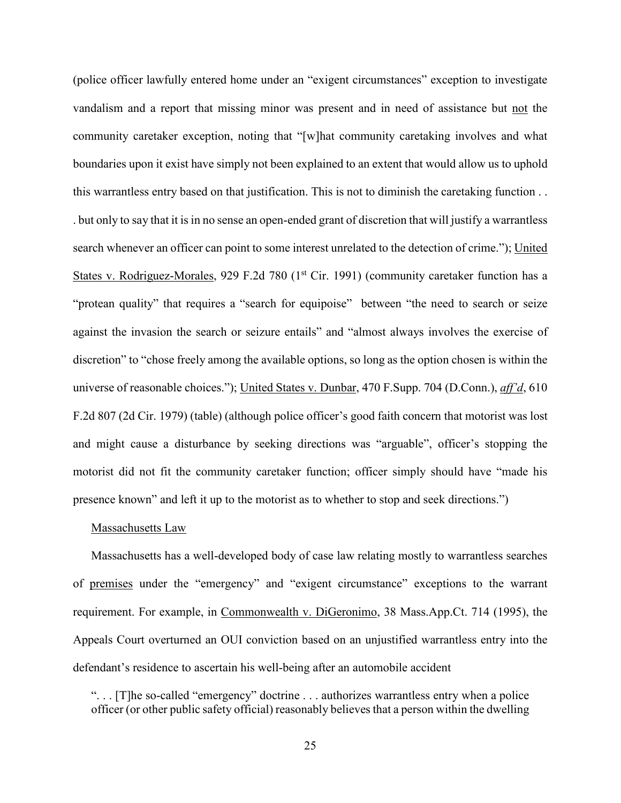(police officer lawfully entered home under an "exigent circumstances" exception to investigate vandalism and a report that missing minor was present and in need of assistance but not the community caretaker exception, noting that "[w]hat community caretaking involves and what boundaries upon it exist have simply not been explained to an extent that would allow us to uphold this warrantless entry based on that justification. This is not to diminish the caretaking function . . . but only to say that it is in no sense an open-ended grant of discretion that will justify a warrantless search whenever an officer can point to some interest unrelated to the detection of crime."); United States v. Rodriguez-Morales, 929 F.2d 780 (1<sup>st</sup> Cir. 1991) (community caretaker function has a "protean quality" that requires a "search for equipoise" between "the need to search or seize against the invasion the search or seizure entails" and "almost always involves the exercise of discretion" to "chose freely among the available options, so long as the option chosen is within the universe of reasonable choices."); United States v. Dunbar, 470 F.Supp. 704 (D.Conn.), *aff'd*, 610 F.2d 807 (2d Cir. 1979) (table) (although police officer's good faith concern that motorist was lost and might cause a disturbance by seeking directions was "arguable", officer's stopping the motorist did not fit the community caretaker function; officer simply should have "made his presence known" and left it up to the motorist as to whether to stop and seek directions.")

#### Massachusetts Law

Massachusetts has a well-developed body of case law relating mostly to warrantless searches of premises under the "emergency" and "exigent circumstance" exceptions to the warrant requirement. For example, in Commonwealth v. DiGeronimo, 38 Mass.App.Ct. 714 (1995), the Appeals Court overturned an OUI conviction based on an unjustified warrantless entry into the defendant's residence to ascertain his well-being after an automobile accident

". . . [T]he so-called "emergency" doctrine . . . authorizes warrantless entry when a police officer (or other public safety official) reasonably believes that a person within the dwelling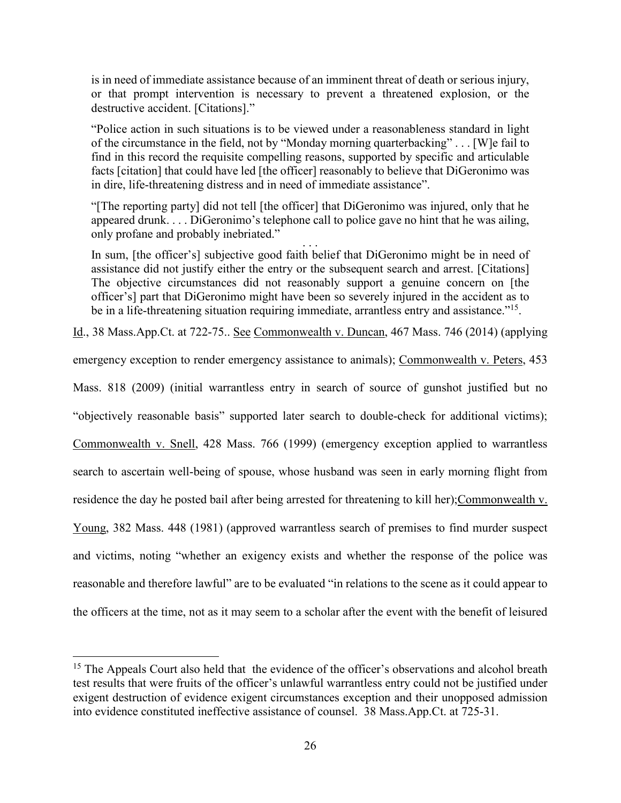is in need of immediate assistance because of an imminent threat of death or serious injury, or that prompt intervention is necessary to prevent a threatened explosion, or the destructive accident. [Citations]."

"Police action in such situations is to be viewed under a reasonableness standard in light of the circumstance in the field, not by "Monday morning quarterbacking" . . . [W]e fail to find in this record the requisite compelling reasons, supported by specific and articulable facts [citation] that could have led [the officer] reasonably to believe that DiGeronimo was in dire, life-threatening distress and in need of immediate assistance".

"[The reporting party] did not tell [the officer] that DiGeronimo was injured, only that he appeared drunk. . . . DiGeronimo's telephone call to police gave no hint that he was ailing, only profane and probably inebriated."

In sum, [the officer's] subjective good faith belief that DiGeronimo might be in need of assistance did not justify either the entry or the subsequent search and arrest. [Citations] The objective circumstances did not reasonably support a genuine concern on [the officer's] part that DiGeronimo might have been so severely injured in the accident as to be in a life-threatening situation requiring immediate, arrantless entry and assistance."<sup>15</sup>.

Id., 38 Mass.App.Ct. at 722-75.. See Commonwealth v. Duncan, 467 Mass. 746 (2014) (applying

emergency exception to render emergency assistance to animals); Commonwealth v. Peters, 453

Mass. 818 (2009) (initial warrantless entry in search of source of gunshot justified but no

"objectively reasonable basis" supported later search to double-check for additional victims);

Commonwealth v. Snell, 428 Mass. 766 (1999) (emergency exception applied to warrantless

search to ascertain well-being of spouse, whose husband was seen in early morning flight from

residence the day he posted bail after being arrested for threatening to kill her);Commonwealth v.

Young, 382 Mass. 448 (1981) (approved warrantless search of premises to find murder suspect

and victims, noting "whether an exigency exists and whether the response of the police was

reasonable and therefore lawful" are to be evaluated "in relations to the scene as it could appear to

the officers at the time, not as it may seem to a scholar after the event with the benefit of leisured

<sup>&</sup>lt;sup>15</sup> The Appeals Court also held that the evidence of the officer's observations and alcohol breath test results that were fruits of the officer's unlawful warrantless entry could not be justified under exigent destruction of evidence exigent circumstances exception and their unopposed admission into evidence constituted ineffective assistance of counsel. 38 Mass.App.Ct. at 725-31.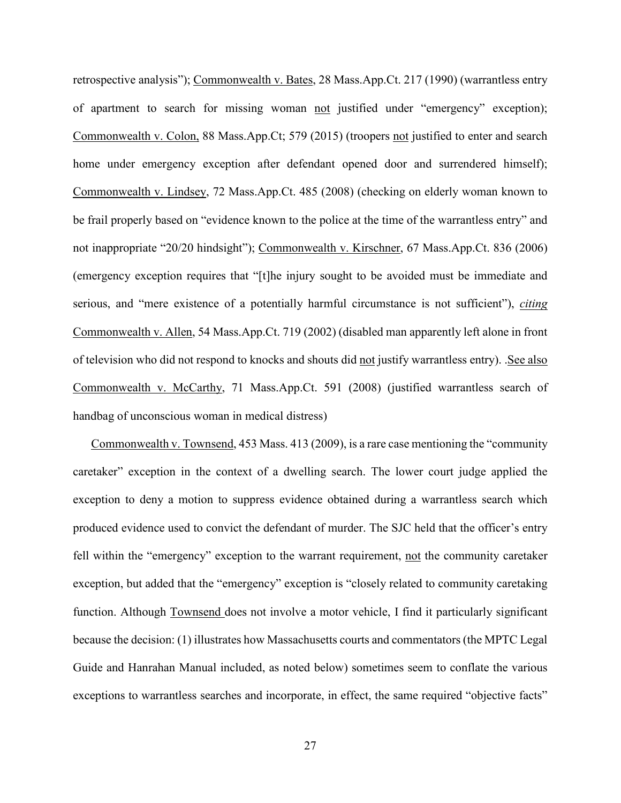retrospective analysis"); Commonwealth v. Bates, 28 Mass.App.Ct. 217 (1990) (warrantless entry of apartment to search for missing woman not justified under "emergency" exception); Commonwealth v. Colon, 88 Mass.App.Ct; 579 (2015) (troopers not justified to enter and search home under emergency exception after defendant opened door and surrendered himself); Commonwealth v. Lindsey, 72 Mass.App.Ct. 485 (2008) (checking on elderly woman known to be frail properly based on "evidence known to the police at the time of the warrantless entry" and not inappropriate "20/20 hindsight"); Commonwealth v. Kirschner, 67 Mass.App.Ct. 836 (2006) (emergency exception requires that "[t]he injury sought to be avoided must be immediate and serious, and "mere existence of a potentially harmful circumstance is not sufficient"), *citing* Commonwealth v. Allen, 54 Mass.App.Ct. 719 (2002) (disabled man apparently left alone in front of television who did not respond to knocks and shouts did not justify warrantless entry). .See also Commonwealth v. McCarthy, 71 Mass.App.Ct. 591 (2008) (justified warrantless search of handbag of unconscious woman in medical distress)

Commonwealth v. Townsend, 453 Mass. 413 (2009), is a rare case mentioning the "community caretaker" exception in the context of a dwelling search. The lower court judge applied the exception to deny a motion to suppress evidence obtained during a warrantless search which produced evidence used to convict the defendant of murder. The SJC held that the officer's entry fell within the "emergency" exception to the warrant requirement, not the community caretaker exception, but added that the "emergency" exception is "closely related to community caretaking function. Although Townsend does not involve a motor vehicle, I find it particularly significant because the decision: (1) illustrates how Massachusetts courts and commentators (the MPTC Legal Guide and Hanrahan Manual included, as noted below) sometimes seem to conflate the various exceptions to warrantless searches and incorporate, in effect, the same required "objective facts"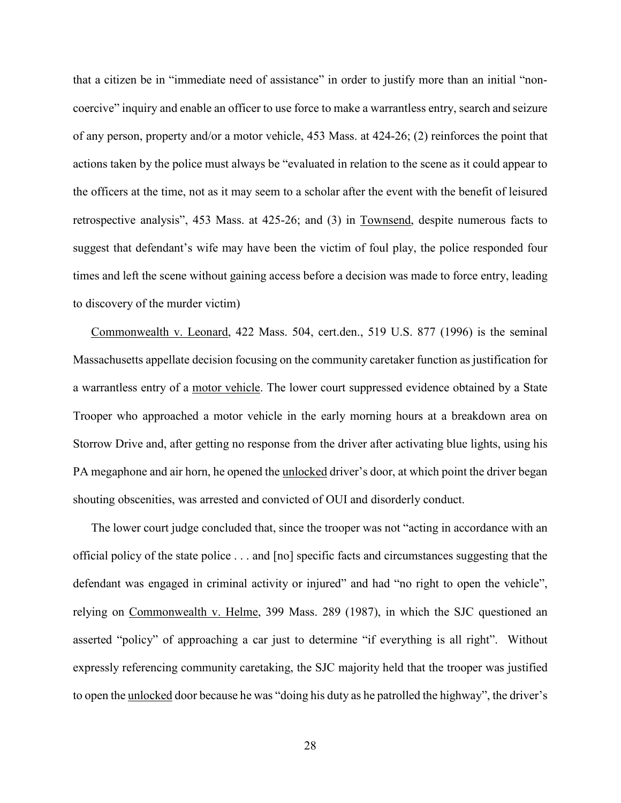that a citizen be in "immediate need of assistance" in order to justify more than an initial "noncoercive" inquiry and enable an officer to use force to make a warrantless entry, search and seizure of any person, property and/or a motor vehicle, 453 Mass. at 424-26; (2) reinforces the point that actions taken by the police must always be "evaluated in relation to the scene as it could appear to the officers at the time, not as it may seem to a scholar after the event with the benefit of leisured retrospective analysis", 453 Mass. at 425-26; and (3) in Townsend, despite numerous facts to suggest that defendant's wife may have been the victim of foul play, the police responded four times and left the scene without gaining access before a decision was made to force entry, leading to discovery of the murder victim)

Commonwealth v. Leonard, 422 Mass. 504, cert.den., 519 U.S. 877 (1996) is the seminal Massachusetts appellate decision focusing on the community caretaker function as justification for a warrantless entry of a motor vehicle. The lower court suppressed evidence obtained by a State Trooper who approached a motor vehicle in the early morning hours at a breakdown area on Storrow Drive and, after getting no response from the driver after activating blue lights, using his PA megaphone and air horn, he opened the unlocked driver's door, at which point the driver began shouting obscenities, was arrested and convicted of OUI and disorderly conduct.

The lower court judge concluded that, since the trooper was not "acting in accordance with an official policy of the state police . . . and [no] specific facts and circumstances suggesting that the defendant was engaged in criminal activity or injured" and had "no right to open the vehicle", relying on Commonwealth v. Helme, 399 Mass. 289 (1987), in which the SJC questioned an asserted "policy" of approaching a car just to determine "if everything is all right". Without expressly referencing community caretaking, the SJC majority held that the trooper was justified to open the unlocked door because he was "doing his duty as he patrolled the highway", the driver's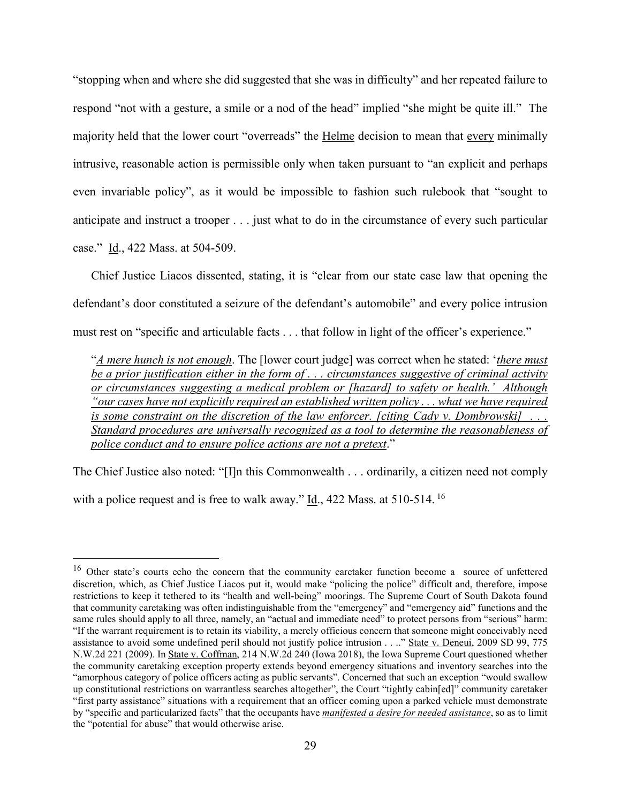"stopping when and where she did suggested that she was in difficulty" and her repeated failure to respond "not with a gesture, a smile or a nod of the head" implied "she might be quite ill." The majority held that the lower court "overreads" the Helme decision to mean that every minimally intrusive, reasonable action is permissible only when taken pursuant to "an explicit and perhaps even invariable policy", as it would be impossible to fashion such rulebook that "sought to anticipate and instruct a trooper . . . just what to do in the circumstance of every such particular case." Id., 422 Mass. at 504-509.

Chief Justice Liacos dissented, stating, it is "clear from our state case law that opening the defendant's door constituted a seizure of the defendant's automobile" and every police intrusion must rest on "specific and articulable facts . . . that follow in light of the officer's experience."

"*A mere hunch is not enough*. The [lower court judge] was correct when he stated: '*there must be a prior justification either in the form of . . . circumstances suggestive of criminal activity or circumstances suggesting a medical problem or [hazard] to safety or health.' Although "our cases have not explicitly required an established written policy . . . what we have required is some constraint on the discretion of the law enforcer. [citing Cady v. Dombrowski] . . . Standard procedures are universally recognized as a tool to determine the reasonableness of police conduct and to ensure police actions are not a pretext*."

The Chief Justice also noted: "[I]n this Commonwealth . . . ordinarily, a citizen need not comply with a police request and is free to walk away." Id., 422 Mass. at 510-514. <sup>16</sup>

<sup>&</sup>lt;sup>16</sup> Other state's courts echo the concern that the community caretaker function become a source of unfettered discretion, which, as Chief Justice Liacos put it, would make "policing the police" difficult and, therefore, impose restrictions to keep it tethered to its "health and well-being" moorings. The Supreme Court of South Dakota found that community caretaking was often indistinguishable from the "emergency" and "emergency aid" functions and the same rules should apply to all three, namely, an "actual and immediate need" to protect persons from "serious" harm: "If the warrant requirement is to retain its viability, a merely officious concern that someone might conceivably need assistance to avoid some undefined peril should not justify police intrusion . . .." State v. Deneui, 2009 SD 99, 775 N.W.2d 221 (2009). In State v. Coffman, 214 N.W.2d 240 (Iowa 2018), the Iowa Supreme Court questioned whether the community caretaking exception property extends beyond emergency situations and inventory searches into the "amorphous category of police officers acting as public servants". Concerned that such an exception "would swallow up constitutional restrictions on warrantless searches altogether", the Court "tightly cabin[ed]" community caretaker "first party assistance" situations with a requirement that an officer coming upon a parked vehicle must demonstrate by "specific and particularized facts" that the occupants have *manifested a desire for needed assistance*, so as to limit the "potential for abuse" that would otherwise arise.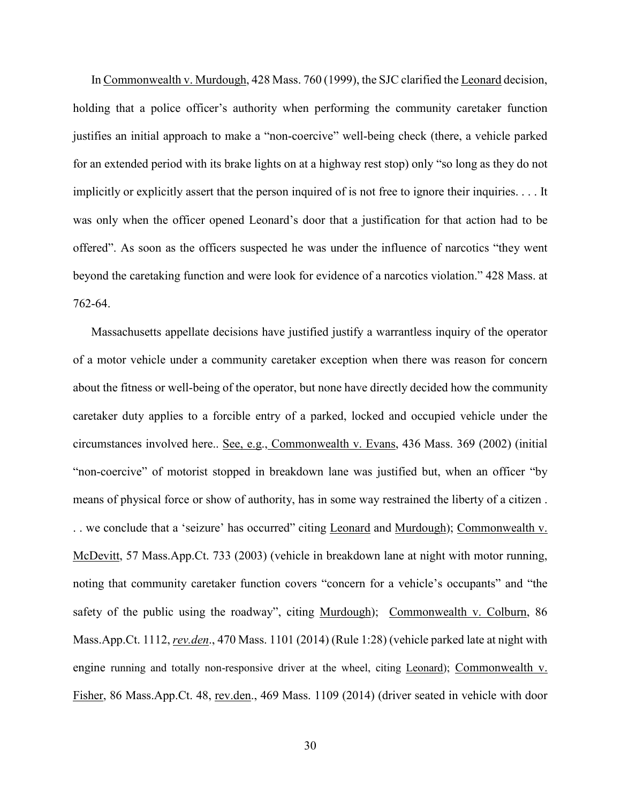In Commonwealth v. Murdough, 428 Mass. 760 (1999), the SJC clarified the Leonard decision, holding that a police officer's authority when performing the community caretaker function justifies an initial approach to make a "non-coercive" well-being check (there, a vehicle parked for an extended period with its brake lights on at a highway rest stop) only "so long as they do not implicitly or explicitly assert that the person inquired of is not free to ignore their inquiries. . . . It was only when the officer opened Leonard's door that a justification for that action had to be offered". As soon as the officers suspected he was under the influence of narcotics "they went beyond the caretaking function and were look for evidence of a narcotics violation." 428 Mass. at 762-64.

Massachusetts appellate decisions have justified justify a warrantless inquiry of the operator of a motor vehicle under a community caretaker exception when there was reason for concern about the fitness or well-being of the operator, but none have directly decided how the community caretaker duty applies to a forcible entry of a parked, locked and occupied vehicle under the circumstances involved here.. See, e.g., Commonwealth v. Evans, 436 Mass. 369 (2002) (initial "non-coercive" of motorist stopped in breakdown lane was justified but, when an officer "by means of physical force or show of authority, has in some way restrained the liberty of a citizen . . . we conclude that a 'seizure' has occurred" citing Leonard and Murdough); Commonwealth v. McDevitt, 57 Mass.App.Ct. 733 (2003) (vehicle in breakdown lane at night with motor running, noting that community caretaker function covers "concern for a vehicle's occupants" and "the safety of the public using the roadway", citing Murdough); Commonwealth v. Colburn, 86 Mass.App.Ct. 1112, *rev.den*., 470 Mass. 1101 (2014) (Rule 1:28) (vehicle parked late at night with engine running and totally non-responsive driver at the wheel, citing Leonard); Commonwealth v. Fisher, 86 Mass.App.Ct. 48, rev.den., 469 Mass. 1109 (2014) (driver seated in vehicle with door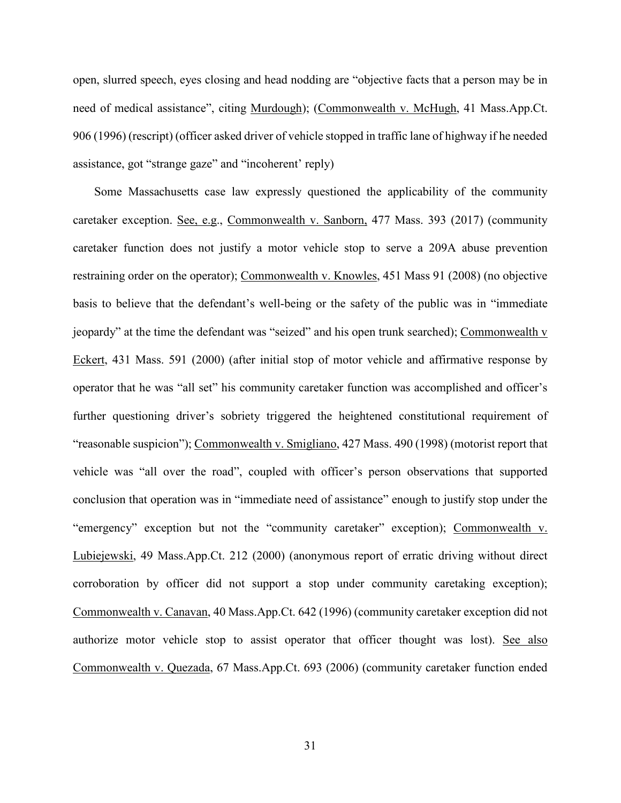open, slurred speech, eyes closing and head nodding are "objective facts that a person may be in need of medical assistance", citing Murdough); (Commonwealth v. McHugh, 41 Mass.App.Ct. 906 (1996) (rescript) (officer asked driver of vehicle stopped in traffic lane of highway if he needed assistance, got "strange gaze" and "incoherent' reply)

Some Massachusetts case law expressly questioned the applicability of the community caretaker exception. See, e.g., Commonwealth v. Sanborn, 477 Mass. 393 (2017) (community caretaker function does not justify a motor vehicle stop to serve a 209A abuse prevention restraining order on the operator); Commonwealth v. Knowles, 451 Mass 91 (2008) (no objective basis to believe that the defendant's well-being or the safety of the public was in "immediate jeopardy" at the time the defendant was "seized" and his open trunk searched); Commonwealth v Eckert, 431 Mass. 591 (2000) (after initial stop of motor vehicle and affirmative response by operator that he was "all set" his community caretaker function was accomplished and officer's further questioning driver's sobriety triggered the heightened constitutional requirement of "reasonable suspicion"); Commonwealth v. Smigliano, 427 Mass. 490 (1998) (motorist report that vehicle was "all over the road", coupled with officer's person observations that supported conclusion that operation was in "immediate need of assistance" enough to justify stop under the "emergency" exception but not the "community caretaker" exception); Commonwealth v. Lubiejewski, 49 Mass.App.Ct. 212 (2000) (anonymous report of erratic driving without direct corroboration by officer did not support a stop under community caretaking exception); Commonwealth v. Canavan, 40 Mass.App.Ct. 642 (1996) (community caretaker exception did not authorize motor vehicle stop to assist operator that officer thought was lost). See also Commonwealth v. Quezada, 67 Mass.App.Ct. 693 (2006) (community caretaker function ended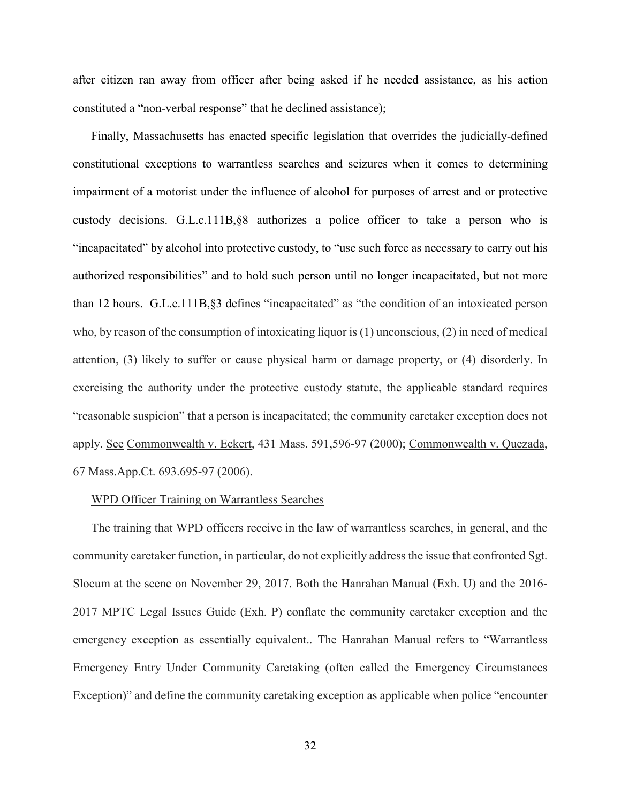after citizen ran away from officer after being asked if he needed assistance, as his action constituted a "non-verbal response" that he declined assistance);

Finally, Massachusetts has enacted specific legislation that overrides the judicially-defined constitutional exceptions to warrantless searches and seizures when it comes to determining impairment of a motorist under the influence of alcohol for purposes of arrest and or protective custody decisions. G.L.c.111B,§8 authorizes a police officer to take a person who is "incapacitated" by alcohol into protective custody, to "use such force as necessary to carry out his authorized responsibilities" and to hold such person until no longer incapacitated, but not more than 12 hours. G.L.c.111B,§3 defines "incapacitated" as "the condition of an intoxicated person who, by reason of the consumption of intoxicating liquor is (1) unconscious, (2) in need of medical attention, (3) likely to suffer or cause physical harm or damage property, or (4) disorderly. In exercising the authority under the protective custody statute, the applicable standard requires "reasonable suspicion" that a person is incapacitated; the community caretaker exception does not apply. See Commonwealth v. Eckert, 431 Mass. 591,596-97 (2000); Commonwealth v. Quezada, 67 Mass.App.Ct. 693.695-97 (2006).

## WPD Officer Training on Warrantless Searches

The training that WPD officers receive in the law of warrantless searches, in general, and the community caretaker function, in particular, do not explicitly address the issue that confronted Sgt. Slocum at the scene on November 29, 2017. Both the Hanrahan Manual (Exh. U) and the 2016- 2017 MPTC Legal Issues Guide (Exh. P) conflate the community caretaker exception and the emergency exception as essentially equivalent.. The Hanrahan Manual refers to "Warrantless Emergency Entry Under Community Caretaking (often called the Emergency Circumstances Exception)" and define the community caretaking exception as applicable when police "encounter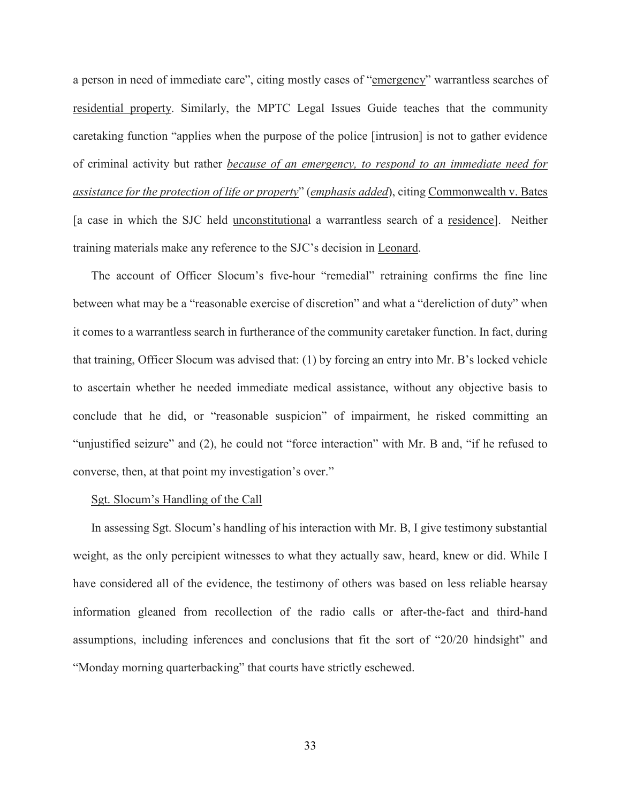a person in need of immediate care", citing mostly cases of "emergency" warrantless searches of residential property. Similarly, the MPTC Legal Issues Guide teaches that the community caretaking function "applies when the purpose of the police [intrusion] is not to gather evidence of criminal activity but rather *because of an emergency, to respond to an immediate need for assistance for the protection of life or property*" (*emphasis added*), citing Commonwealth v. Bates [a case in which the SJC held unconstitutional a warrantless search of a residence]. Neither training materials make any reference to the SJC's decision in Leonard.

The account of Officer Slocum's five-hour "remedial" retraining confirms the fine line between what may be a "reasonable exercise of discretion" and what a "dereliction of duty" when it comes to a warrantless search in furtherance of the community caretaker function. In fact, during that training, Officer Slocum was advised that: (1) by forcing an entry into Mr. B's locked vehicle to ascertain whether he needed immediate medical assistance, without any objective basis to conclude that he did, or "reasonable suspicion" of impairment, he risked committing an "unjustified seizure" and (2), he could not "force interaction" with Mr. B and, "if he refused to converse, then, at that point my investigation's over."

### Sgt. Slocum's Handling of the Call

In assessing Sgt. Slocum's handling of his interaction with Mr. B, I give testimony substantial weight, as the only percipient witnesses to what they actually saw, heard, knew or did. While I have considered all of the evidence, the testimony of others was based on less reliable hearsay information gleaned from recollection of the radio calls or after-the-fact and third-hand assumptions, including inferences and conclusions that fit the sort of "20/20 hindsight" and "Monday morning quarterbacking" that courts have strictly eschewed.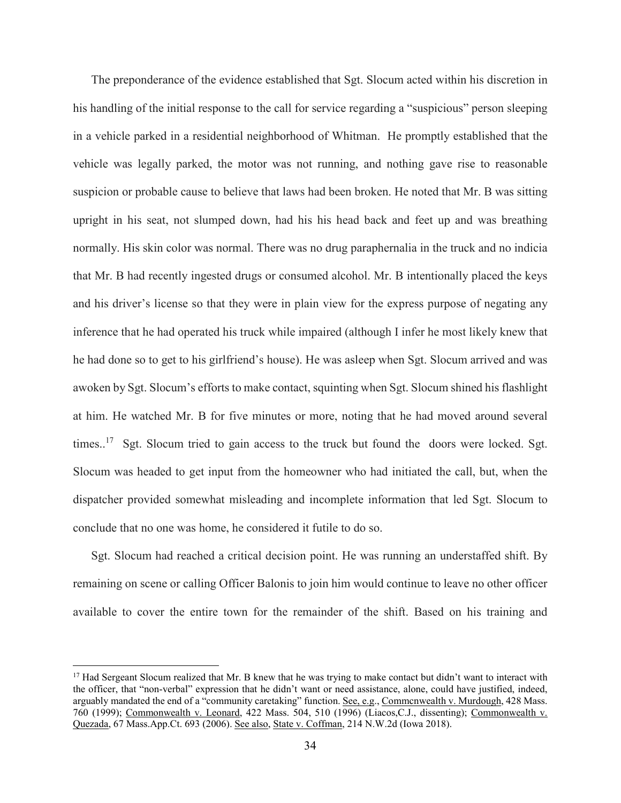The preponderance of the evidence established that Sgt. Slocum acted within his discretion in his handling of the initial response to the call for service regarding a "suspicious" person sleeping in a vehicle parked in a residential neighborhood of Whitman. He promptly established that the vehicle was legally parked, the motor was not running, and nothing gave rise to reasonable suspicion or probable cause to believe that laws had been broken. He noted that Mr. B was sitting upright in his seat, not slumped down, had his his head back and feet up and was breathing normally. His skin color was normal. There was no drug paraphernalia in the truck and no indicia that Mr. B had recently ingested drugs or consumed alcohol. Mr. B intentionally placed the keys and his driver's license so that they were in plain view for the express purpose of negating any inference that he had operated his truck while impaired (although I infer he most likely knew that he had done so to get to his girlfriend's house). He was asleep when Sgt. Slocum arrived and was awoken by Sgt. Slocum's efforts to make contact, squinting when Sgt. Slocum shined his flashlight at him. He watched Mr. B for five minutes or more, noting that he had moved around several times..<sup>17</sup> Sgt. Slocum tried to gain access to the truck but found the doors were locked. Sgt. Slocum was headed to get input from the homeowner who had initiated the call, but, when the dispatcher provided somewhat misleading and incomplete information that led Sgt. Slocum to conclude that no one was home, he considered it futile to do so.

Sgt. Slocum had reached a critical decision point. He was running an understaffed shift. By remaining on scene or calling Officer Balonis to join him would continue to leave no other officer available to cover the entire town for the remainder of the shift. Based on his training and

<sup>&</sup>lt;sup>17</sup> Had Sergeant Slocum realized that Mr. B knew that he was trying to make contact but didn't want to interact with the officer, that "non-verbal" expression that he didn't want or need assistance, alone, could have justified, indeed, arguably mandated the end of a "community caretaking" function. See, e.g., Commcnwealth v. Murdough, 428 Mass. 760 (1999); Commonwealth v. Leonard, 422 Mass. 504, 510 (1996) (Liacos,C.J., dissenting); Commonwealth v. Quezada, 67 Mass.App.Ct. 693 (2006). See also, State v. Coffman, 214 N.W.2d (Iowa 2018).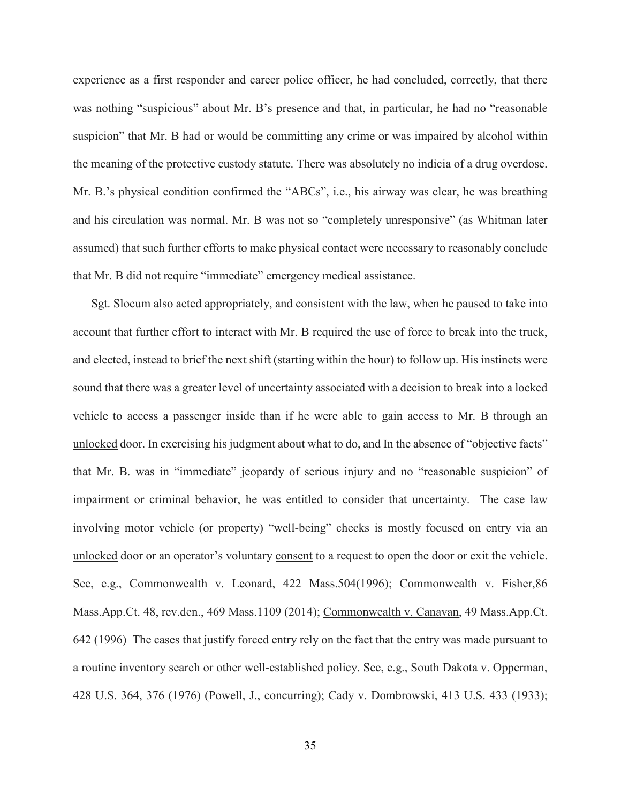experience as a first responder and career police officer, he had concluded, correctly, that there was nothing "suspicious" about Mr. B's presence and that, in particular, he had no "reasonable" suspicion" that Mr. B had or would be committing any crime or was impaired by alcohol within the meaning of the protective custody statute. There was absolutely no indicia of a drug overdose. Mr. B.'s physical condition confirmed the "ABCs", i.e., his airway was clear, he was breathing and his circulation was normal. Mr. B was not so "completely unresponsive" (as Whitman later assumed) that such further efforts to make physical contact were necessary to reasonably conclude that Mr. B did not require "immediate" emergency medical assistance.

Sgt. Slocum also acted appropriately, and consistent with the law, when he paused to take into account that further effort to interact with Mr. B required the use of force to break into the truck, and elected, instead to brief the next shift (starting within the hour) to follow up. His instincts were sound that there was a greater level of uncertainty associated with a decision to break into a locked vehicle to access a passenger inside than if he were able to gain access to Mr. B through an unlocked door. In exercising his judgment about what to do, and In the absence of "objective facts" that Mr. B. was in "immediate" jeopardy of serious injury and no "reasonable suspicion" of impairment or criminal behavior, he was entitled to consider that uncertainty. The case law involving motor vehicle (or property) "well-being" checks is mostly focused on entry via an unlocked door or an operator's voluntary consent to a request to open the door or exit the vehicle. See, e.g., Commonwealth v. Leonard, 422 Mass.504(1996); Commonwealth v. Fisher,86 Mass.App.Ct. 48, rev.den., 469 Mass.1109 (2014); Commonwealth v. Canavan, 49 Mass.App.Ct. 642 (1996) The cases that justify forced entry rely on the fact that the entry was made pursuant to a routine inventory search or other well-established policy. See, e.g., South Dakota v. Opperman, 428 U.S. 364, 376 (1976) (Powell, J., concurring); Cady v. Dombrowski, 413 U.S. 433 (1933);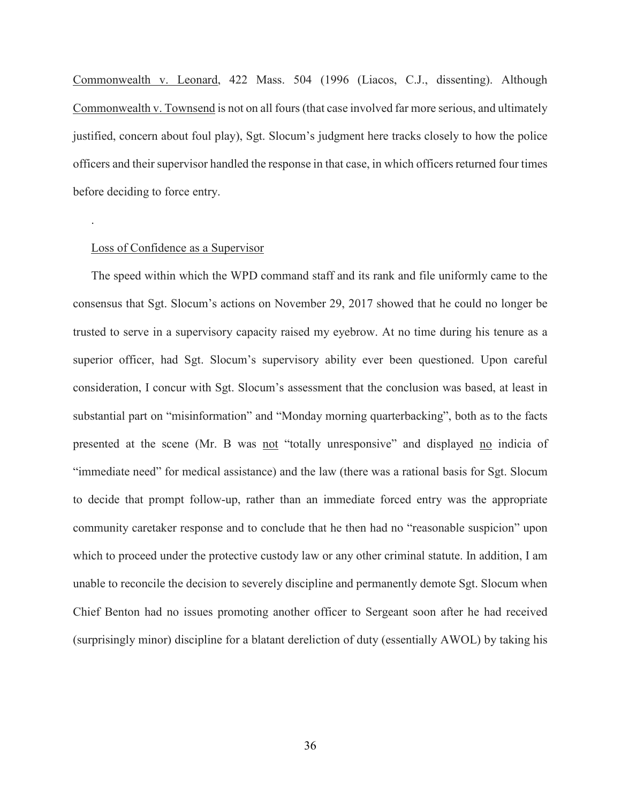Commonwealth v. Leonard, 422 Mass. 504 (1996 (Liacos, C.J., dissenting). Although Commonwealth v. Townsend is not on all fours (that case involved far more serious, and ultimately justified, concern about foul play), Sgt. Slocum's judgment here tracks closely to how the police officers and their supervisor handled the response in that case, in which officers returned four times before deciding to force entry.

## Loss of Confidence as a Supervisor

.

The speed within which the WPD command staff and its rank and file uniformly came to the consensus that Sgt. Slocum's actions on November 29, 2017 showed that he could no longer be trusted to serve in a supervisory capacity raised my eyebrow. At no time during his tenure as a superior officer, had Sgt. Slocum's supervisory ability ever been questioned. Upon careful consideration, I concur with Sgt. Slocum's assessment that the conclusion was based, at least in substantial part on "misinformation" and "Monday morning quarterbacking", both as to the facts presented at the scene (Mr. B was not "totally unresponsive" and displayed no indicia of "immediate need" for medical assistance) and the law (there was a rational basis for Sgt. Slocum to decide that prompt follow-up, rather than an immediate forced entry was the appropriate community caretaker response and to conclude that he then had no "reasonable suspicion" upon which to proceed under the protective custody law or any other criminal statute. In addition, I am unable to reconcile the decision to severely discipline and permanently demote Sgt. Slocum when Chief Benton had no issues promoting another officer to Sergeant soon after he had received (surprisingly minor) discipline for a blatant dereliction of duty (essentially AWOL) by taking his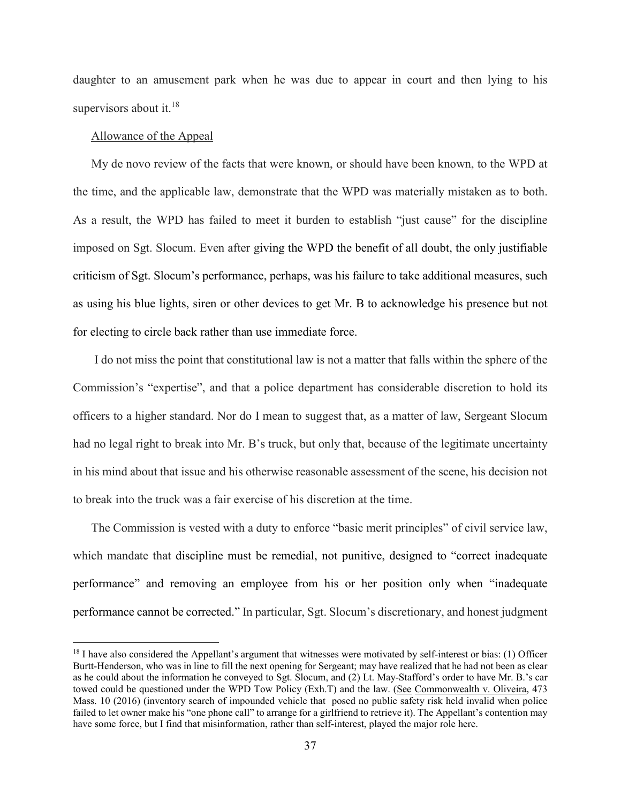daughter to an amusement park when he was due to appear in court and then lying to his supervisors about it.<sup>18</sup>

## Allowance of the Appeal

My de novo review of the facts that were known, or should have been known, to the WPD at the time, and the applicable law, demonstrate that the WPD was materially mistaken as to both. As a result, the WPD has failed to meet it burden to establish "just cause" for the discipline imposed on Sgt. Slocum. Even after giving the WPD the benefit of all doubt, the only justifiable criticism of Sgt. Slocum's performance, perhaps, was his failure to take additional measures, such as using his blue lights, siren or other devices to get Mr. B to acknowledge his presence but not for electing to circle back rather than use immediate force.

I do not miss the point that constitutional law is not a matter that falls within the sphere of the Commission's "expertise", and that a police department has considerable discretion to hold its officers to a higher standard. Nor do I mean to suggest that, as a matter of law, Sergeant Slocum had no legal right to break into Mr. B's truck, but only that, because of the legitimate uncertainty in his mind about that issue and his otherwise reasonable assessment of the scene, his decision not to break into the truck was a fair exercise of his discretion at the time.

The Commission is vested with a duty to enforce "basic merit principles" of civil service law, which mandate that discipline must be remedial, not punitive, designed to "correct inadequate performance" and removing an employee from his or her position only when "inadequate performance cannot be corrected." In particular, Sgt. Slocum's discretionary, and honest judgment

<sup>&</sup>lt;sup>18</sup> I have also considered the Appellant's argument that witnesses were motivated by self-interest or bias: (1) Officer Burtt-Henderson, who was in line to fill the next opening for Sergeant; may have realized that he had not been as clear as he could about the information he conveyed to Sgt. Slocum, and (2) Lt. May-Stafford's order to have Mr. B.'s car towed could be questioned under the WPD Tow Policy (Exh.T) and the law. (See Commonwealth v. Oliveira, 473 Mass. 10 (2016) (inventory search of impounded vehicle that posed no public safety risk held invalid when police failed to let owner make his "one phone call" to arrange for a girlfriend to retrieve it). The Appellant's contention may have some force, but I find that misinformation, rather than self-interest, played the major role here.